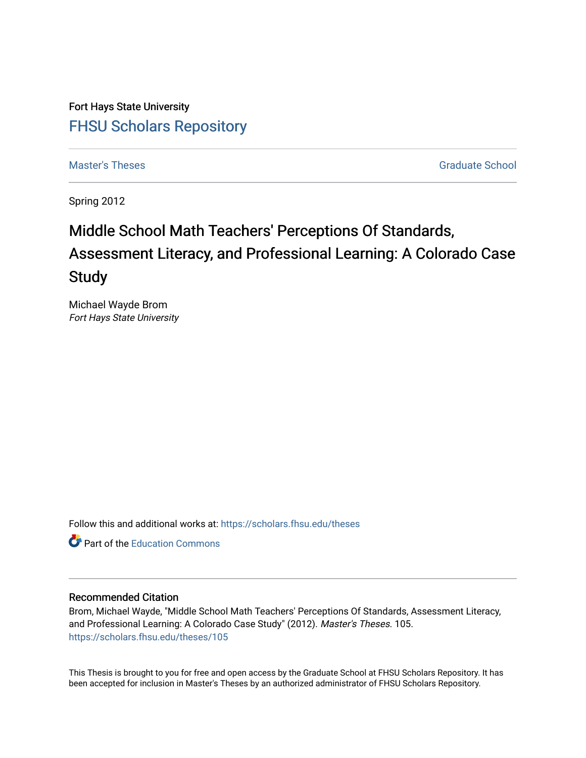Fort Hays State University [FHSU Scholars Repository](https://scholars.fhsu.edu/) 

[Master's Theses](https://scholars.fhsu.edu/theses) [Graduate School](https://scholars.fhsu.edu/gradschl) and These Graduate School and The Graduate School and The Graduate School and The Graduate School and The Graduate School and The Graduate School and The Graduate School and The Graduate Sch

Spring 2012

# Middle School Math Teachers' Perceptions Of Standards, Assessment Literacy, and Professional Learning: A Colorado Case Study

Michael Wayde Brom Fort Hays State University

Follow this and additional works at: [https://scholars.fhsu.edu/theses](https://scholars.fhsu.edu/theses?utm_source=scholars.fhsu.edu%2Ftheses%2F105&utm_medium=PDF&utm_campaign=PDFCoverPages)

**C** Part of the [Education Commons](http://network.bepress.com/hgg/discipline/784?utm_source=scholars.fhsu.edu%2Ftheses%2F105&utm_medium=PDF&utm_campaign=PDFCoverPages)

# Recommended Citation

Brom, Michael Wayde, "Middle School Math Teachers' Perceptions Of Standards, Assessment Literacy, and Professional Learning: A Colorado Case Study" (2012). Master's Theses. 105. [https://scholars.fhsu.edu/theses/105](https://scholars.fhsu.edu/theses/105?utm_source=scholars.fhsu.edu%2Ftheses%2F105&utm_medium=PDF&utm_campaign=PDFCoverPages) 

This Thesis is brought to you for free and open access by the Graduate School at FHSU Scholars Repository. It has been accepted for inclusion in Master's Theses by an authorized administrator of FHSU Scholars Repository.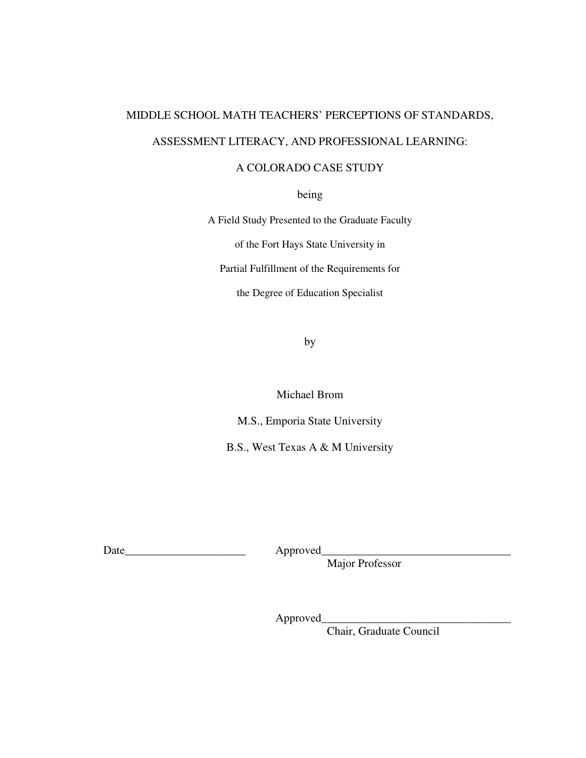# MIDDLE SCHOOL MATH TEACHERS' PERCEPTIONS OF STANDARDS, ASSESSMENT LITERACY, AND PROFESSIONAL LEARNING:

# A COLORADO CASE STUDY

being

A Field Study Presented to the Graduate Faculty

of the Fort Hays State University in

Partial Fulfillment of the Requirements for

the Degree of Education Specialist

by

Michael Brom

M.S., Emporia State University

B.S., West Texas A & M University

Date\_\_\_\_\_\_\_\_\_\_\_\_\_\_\_\_\_\_\_\_\_ Approved\_\_\_\_\_\_\_\_\_\_\_\_\_\_\_\_\_\_\_\_\_\_\_\_\_\_\_\_\_\_\_\_\_

Major Professor

Approved\_

Chair, Graduate Council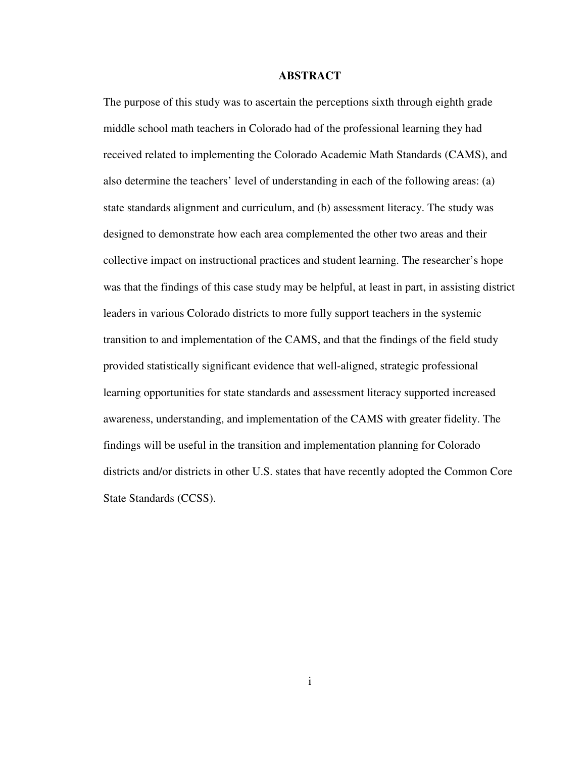#### **ABSTRACT**

The purpose of this study was to ascertain the perceptions sixth through eighth grade middle school math teachers in Colorado had of the professional learning they had received related to implementing the Colorado Academic Math Standards (CAMS), and also determine the teachers' level of understanding in each of the following areas: (a) state standards alignment and curriculum, and (b) assessment literacy. The study was designed to demonstrate how each area complemented the other two areas and their collective impact on instructional practices and student learning. The researcher's hope was that the findings of this case study may be helpful, at least in part, in assisting district leaders in various Colorado districts to more fully support teachers in the systemic transition to and implementation of the CAMS, and that the findings of the field study provided statistically significant evidence that well-aligned, strategic professional learning opportunities for state standards and assessment literacy supported increased awareness, understanding, and implementation of the CAMS with greater fidelity. The findings will be useful in the transition and implementation planning for Colorado districts and/or districts in other U.S. states that have recently adopted the Common Core State Standards (CCSS).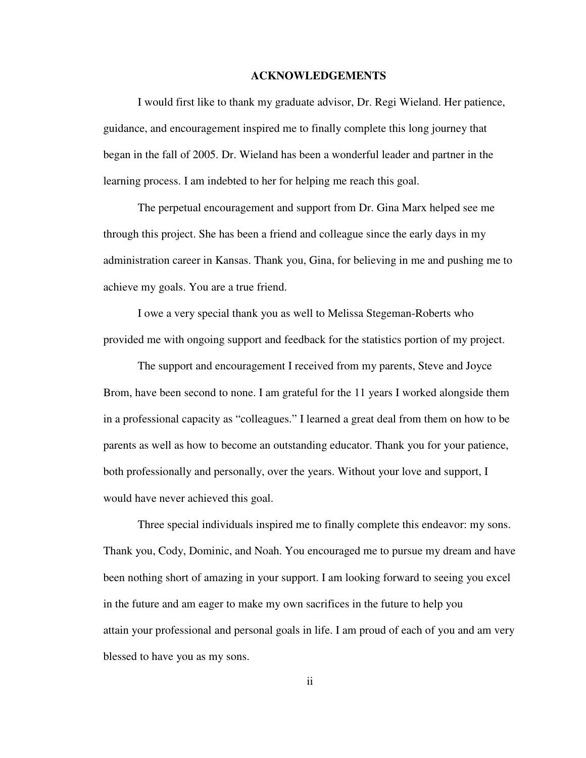#### **ACKNOWLEDGEMENTS**

I would first like to thank my graduate advisor, Dr. Regi Wieland. Her patience, guidance, and encouragement inspired me to finally complete this long journey that began in the fall of 2005. Dr. Wieland has been a wonderful leader and partner in the learning process. I am indebted to her for helping me reach this goal.

The perpetual encouragement and support from Dr. Gina Marx helped see me through this project. She has been a friend and colleague since the early days in my administration career in Kansas. Thank you, Gina, for believing in me and pushing me to achieve my goals. You are a true friend.

I owe a very special thank you as well to Melissa Stegeman-Roberts who provided me with ongoing support and feedback for the statistics portion of my project.

The support and encouragement I received from my parents, Steve and Joyce Brom, have been second to none. I am grateful for the 11 years I worked alongside them in a professional capacity as "colleagues." I learned a great deal from them on how to be parents as well as how to become an outstanding educator. Thank you for your patience, both professionally and personally, over the years. Without your love and support, I would have never achieved this goal.

Three special individuals inspired me to finally complete this endeavor: my sons. Thank you, Cody, Dominic, and Noah. You encouraged me to pursue my dream and have been nothing short of amazing in your support. I am looking forward to seeing you excel in the future and am eager to make my own sacrifices in the future to help you attain your professional and personal goals in life. I am proud of each of you and am very blessed to have you as my sons.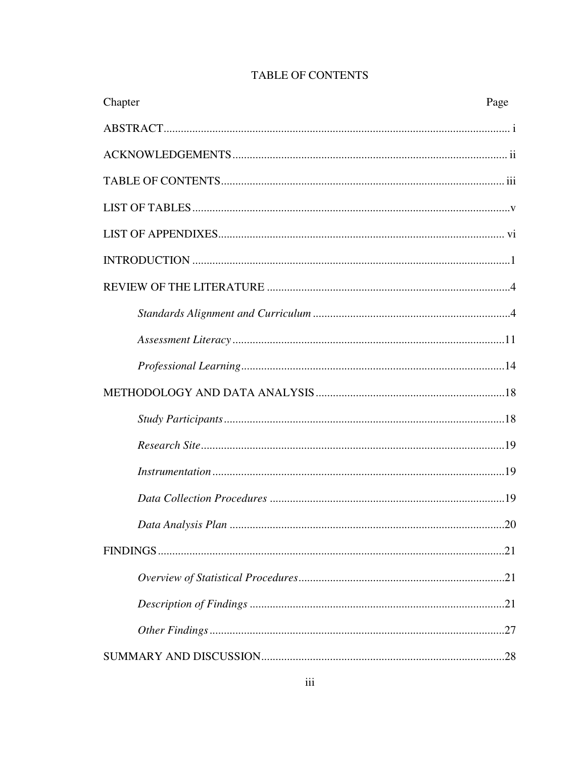| Chapter | Page |
|---------|------|
|         |      |
|         |      |
|         |      |
|         |      |
|         |      |
|         |      |
|         |      |
|         |      |
|         |      |
|         |      |
|         |      |
|         |      |
|         |      |
|         |      |
|         |      |
|         |      |
|         |      |
|         |      |
|         |      |
|         |      |
|         |      |

# **TABLE OF CONTENTS**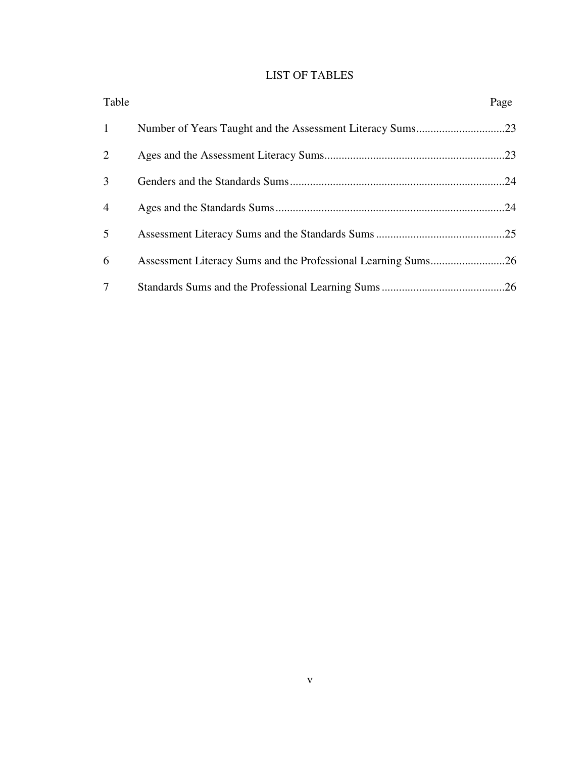# LIST OF TABLES

| Table          | Page |
|----------------|------|
| $\mathbf{1}$   |      |
| 2              |      |
| 3              |      |
| $\overline{4}$ |      |
| 5              |      |
| 6              |      |
| 7              |      |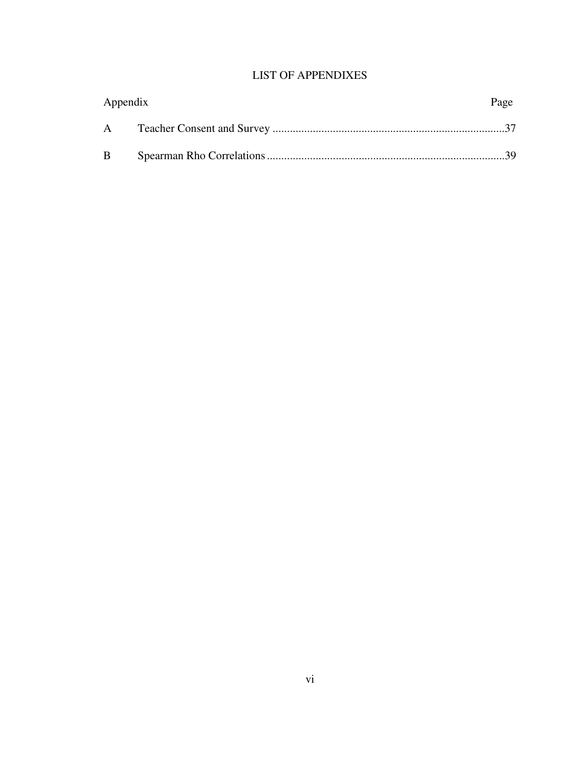# LIST OF APPENDIXES

| Appendix | Page |
|----------|------|
| A        |      |
| B        |      |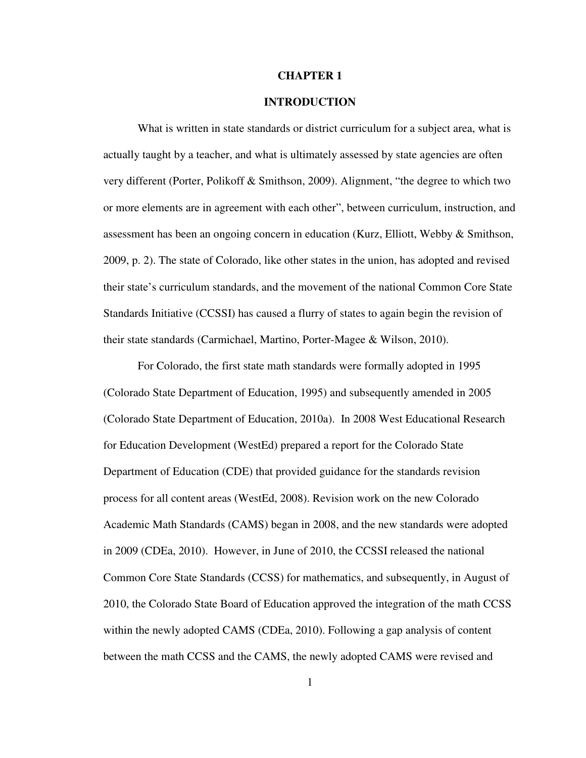#### **CHAPTER 1**

# **INTRODUCTION**

What is written in state standards or district curriculum for a subject area, what is actually taught by a teacher, and what is ultimately assessed by state agencies are often very different (Porter, Polikoff & Smithson, 2009). Alignment, "the degree to which two or more elements are in agreement with each other", between curriculum, instruction, and assessment has been an ongoing concern in education (Kurz, Elliott, Webby & Smithson, 2009, p. 2). The state of Colorado, like other states in the union, has adopted and revised their state's curriculum standards, and the movement of the national Common Core State Standards Initiative (CCSSI) has caused a flurry of states to again begin the revision of their state standards (Carmichael, Martino, Porter-Magee & Wilson, 2010).

For Colorado, the first state math standards were formally adopted in 1995 (Colorado State Department of Education, 1995) and subsequently amended in 2005 (Colorado State Department of Education, 2010a). In 2008 West Educational Research for Education Development (WestEd) prepared a report for the Colorado State Department of Education (CDE) that provided guidance for the standards revision process for all content areas (WestEd, 2008). Revision work on the new Colorado Academic Math Standards (CAMS) began in 2008, and the new standards were adopted in 2009 (CDEa, 2010). However, in June of 2010, the CCSSI released the national Common Core State Standards (CCSS) for mathematics, and subsequently, in August of 2010, the Colorado State Board of Education approved the integration of the math CCSS within the newly adopted CAMS (CDEa, 2010). Following a gap analysis of content between the math CCSS and the CAMS, the newly adopted CAMS were revised and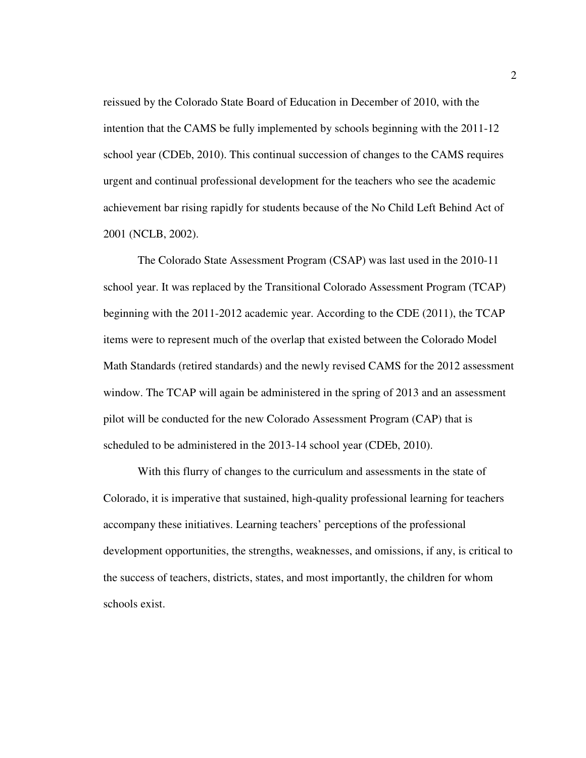reissued by the Colorado State Board of Education in December of 2010, with the intention that the CAMS be fully implemented by schools beginning with the 2011-12 school year (CDEb, 2010). This continual succession of changes to the CAMS requires urgent and continual professional development for the teachers who see the academic achievement bar rising rapidly for students because of the No Child Left Behind Act of 2001 (NCLB, 2002).

The Colorado State Assessment Program (CSAP) was last used in the 2010-11 school year. It was replaced by the Transitional Colorado Assessment Program (TCAP) beginning with the 2011-2012 academic year. According to the CDE (2011), the TCAP items were to represent much of the overlap that existed between the Colorado Model Math Standards (retired standards) and the newly revised CAMS for the 2012 assessment window. The TCAP will again be administered in the spring of 2013 and an assessment pilot will be conducted for the new Colorado Assessment Program (CAP) that is scheduled to be administered in the 2013-14 school year (CDEb, 2010).

With this flurry of changes to the curriculum and assessments in the state of Colorado, it is imperative that sustained, high-quality professional learning for teachers accompany these initiatives. Learning teachers' perceptions of the professional development opportunities, the strengths, weaknesses, and omissions, if any, is critical to the success of teachers, districts, states, and most importantly, the children for whom schools exist.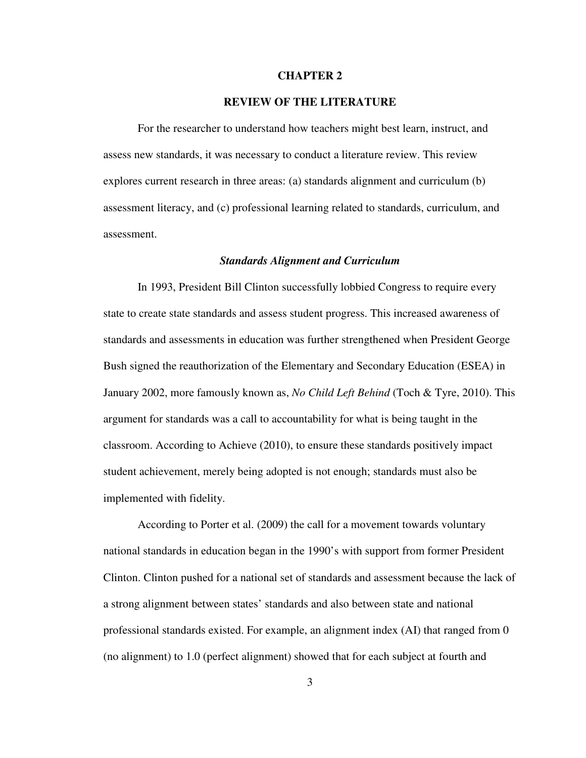#### **CHAPTER 2**

# **REVIEW OF THE LITERATURE**

For the researcher to understand how teachers might best learn, instruct, and assess new standards, it was necessary to conduct a literature review. This review explores current research in three areas: (a) standards alignment and curriculum (b) assessment literacy, and (c) professional learning related to standards, curriculum, and assessment.

#### *Standards Alignment and Curriculum*

In 1993, President Bill Clinton successfully lobbied Congress to require every state to create state standards and assess student progress. This increased awareness of standards and assessments in education was further strengthened when President George Bush signed the reauthorization of the Elementary and Secondary Education (ESEA) in January 2002, more famously known as, *No Child Left Behind* (Toch & Tyre, 2010). This argument for standards was a call to accountability for what is being taught in the classroom. According to Achieve (2010), to ensure these standards positively impact student achievement, merely being adopted is not enough; standards must also be implemented with fidelity.

According to Porter et al. (2009) the call for a movement towards voluntary national standards in education began in the 1990's with support from former President Clinton. Clinton pushed for a national set of standards and assessment because the lack of a strong alignment between states' standards and also between state and national professional standards existed. For example, an alignment index (AI) that ranged from 0 (no alignment) to 1.0 (perfect alignment) showed that for each subject at fourth and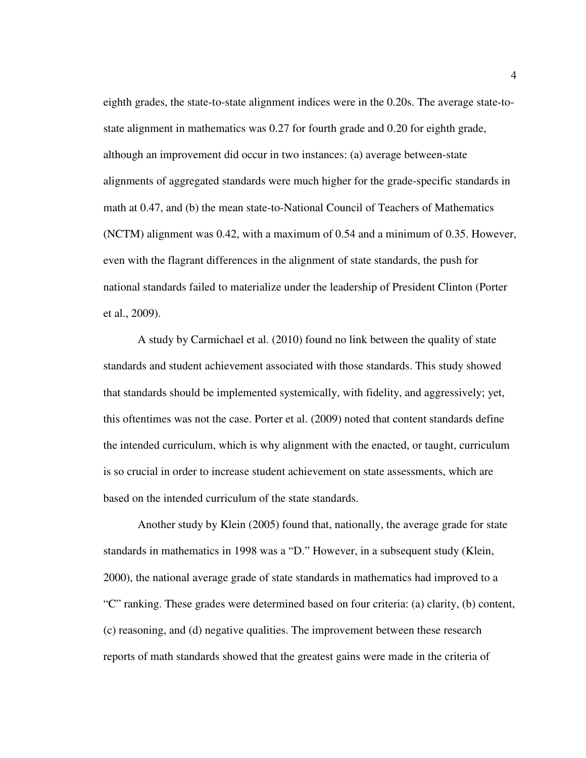eighth grades, the state-to-state alignment indices were in the 0.20s. The average state-tostate alignment in mathematics was 0.27 for fourth grade and 0.20 for eighth grade, although an improvement did occur in two instances: (a) average between-state alignments of aggregated standards were much higher for the grade-specific standards in math at 0.47, and (b) the mean state-to-National Council of Teachers of Mathematics (NCTM) alignment was 0.42, with a maximum of 0.54 and a minimum of 0.35. However, even with the flagrant differences in the alignment of state standards, the push for national standards failed to materialize under the leadership of President Clinton (Porter et al., 2009).

A study by Carmichael et al. (2010) found no link between the quality of state standards and student achievement associated with those standards. This study showed that standards should be implemented systemically, with fidelity, and aggressively; yet, this oftentimes was not the case. Porter et al. (2009) noted that content standards define the intended curriculum, which is why alignment with the enacted, or taught, curriculum is so crucial in order to increase student achievement on state assessments, which are based on the intended curriculum of the state standards.

Another study by Klein (2005) found that, nationally, the average grade for state standards in mathematics in 1998 was a "D." However, in a subsequent study (Klein, 2000), the national average grade of state standards in mathematics had improved to a "C" ranking. These grades were determined based on four criteria: (a) clarity, (b) content, (c) reasoning, and (d) negative qualities. The improvement between these research reports of math standards showed that the greatest gains were made in the criteria of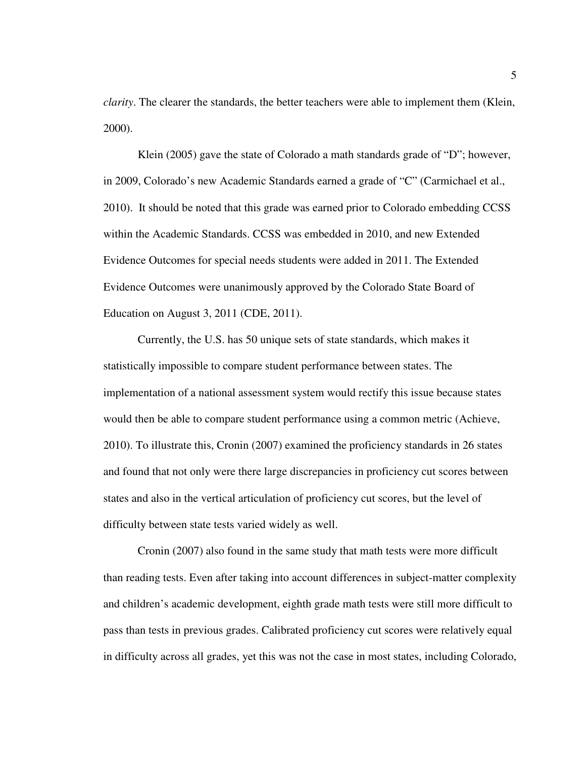*clarity*. The clearer the standards, the better teachers were able to implement them (Klein, 2000).

Klein (2005) gave the state of Colorado a math standards grade of "D"; however, in 2009, Colorado's new Academic Standards earned a grade of "C" (Carmichael et al., 2010). It should be noted that this grade was earned prior to Colorado embedding CCSS within the Academic Standards. CCSS was embedded in 2010, and new Extended Evidence Outcomes for special needs students were added in 2011. The Extended Evidence Outcomes were unanimously approved by the Colorado State Board of Education on August 3, 2011 (CDE, 2011).

Currently, the U.S. has 50 unique sets of state standards, which makes it statistically impossible to compare student performance between states. The implementation of a national assessment system would rectify this issue because states would then be able to compare student performance using a common metric (Achieve, 2010). To illustrate this, Cronin (2007) examined the proficiency standards in 26 states and found that not only were there large discrepancies in proficiency cut scores between states and also in the vertical articulation of proficiency cut scores, but the level of difficulty between state tests varied widely as well.

Cronin (2007) also found in the same study that math tests were more difficult than reading tests. Even after taking into account differences in subject-matter complexity and children's academic development, eighth grade math tests were still more difficult to pass than tests in previous grades. Calibrated proficiency cut scores were relatively equal in difficulty across all grades, yet this was not the case in most states, including Colorado,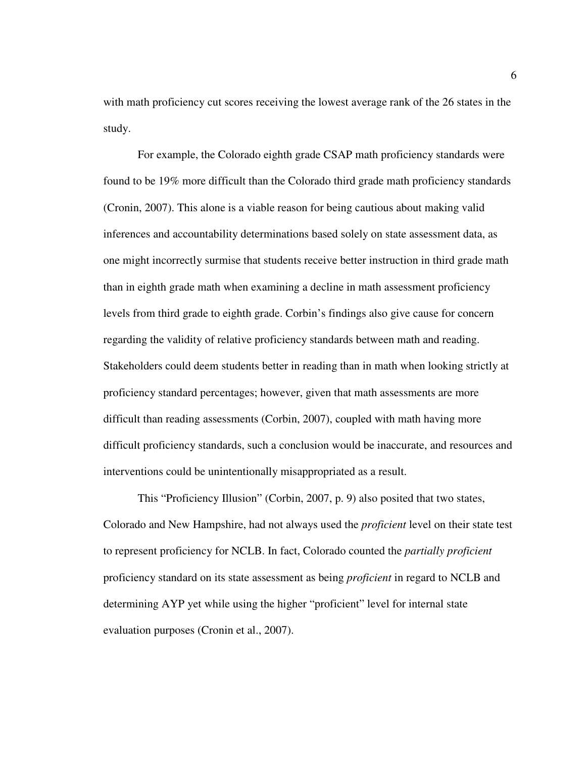with math proficiency cut scores receiving the lowest average rank of the 26 states in the study.

For example, the Colorado eighth grade CSAP math proficiency standards were found to be 19% more difficult than the Colorado third grade math proficiency standards (Cronin, 2007). This alone is a viable reason for being cautious about making valid inferences and accountability determinations based solely on state assessment data, as one might incorrectly surmise that students receive better instruction in third grade math than in eighth grade math when examining a decline in math assessment proficiency levels from third grade to eighth grade. Corbin's findings also give cause for concern regarding the validity of relative proficiency standards between math and reading. Stakeholders could deem students better in reading than in math when looking strictly at proficiency standard percentages; however, given that math assessments are more difficult than reading assessments (Corbin, 2007), coupled with math having more difficult proficiency standards, such a conclusion would be inaccurate, and resources and interventions could be unintentionally misappropriated as a result.

This "Proficiency Illusion" (Corbin, 2007, p. 9) also posited that two states, Colorado and New Hampshire, had not always used the *proficient* level on their state test to represent proficiency for NCLB. In fact, Colorado counted the *partially proficient* proficiency standard on its state assessment as being *proficient* in regard to NCLB and determining AYP yet while using the higher "proficient" level for internal state evaluation purposes (Cronin et al., 2007).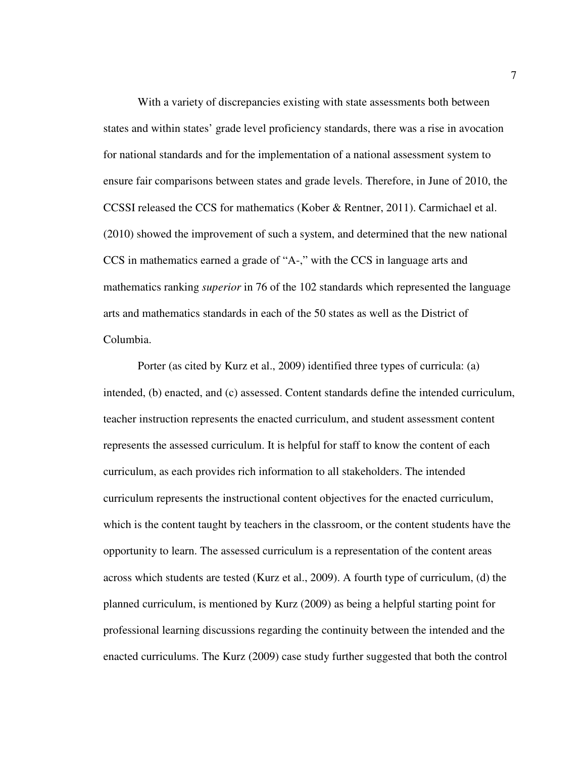With a variety of discrepancies existing with state assessments both between states and within states' grade level proficiency standards, there was a rise in avocation for national standards and for the implementation of a national assessment system to ensure fair comparisons between states and grade levels. Therefore, in June of 2010, the CCSSI released the CCS for mathematics (Kober & Rentner, 2011). Carmichael et al. (2010) showed the improvement of such a system, and determined that the new national CCS in mathematics earned a grade of "A-," with the CCS in language arts and mathematics ranking *superior* in 76 of the 102 standards which represented the language arts and mathematics standards in each of the 50 states as well as the District of Columbia.

Porter (as cited by Kurz et al., 2009) identified three types of curricula: (a) intended, (b) enacted, and (c) assessed. Content standards define the intended curriculum, teacher instruction represents the enacted curriculum, and student assessment content represents the assessed curriculum. It is helpful for staff to know the content of each curriculum, as each provides rich information to all stakeholders. The intended curriculum represents the instructional content objectives for the enacted curriculum, which is the content taught by teachers in the classroom, or the content students have the opportunity to learn. The assessed curriculum is a representation of the content areas across which students are tested (Kurz et al., 2009). A fourth type of curriculum, (d) the planned curriculum, is mentioned by Kurz (2009) as being a helpful starting point for professional learning discussions regarding the continuity between the intended and the enacted curriculums. The Kurz (2009) case study further suggested that both the control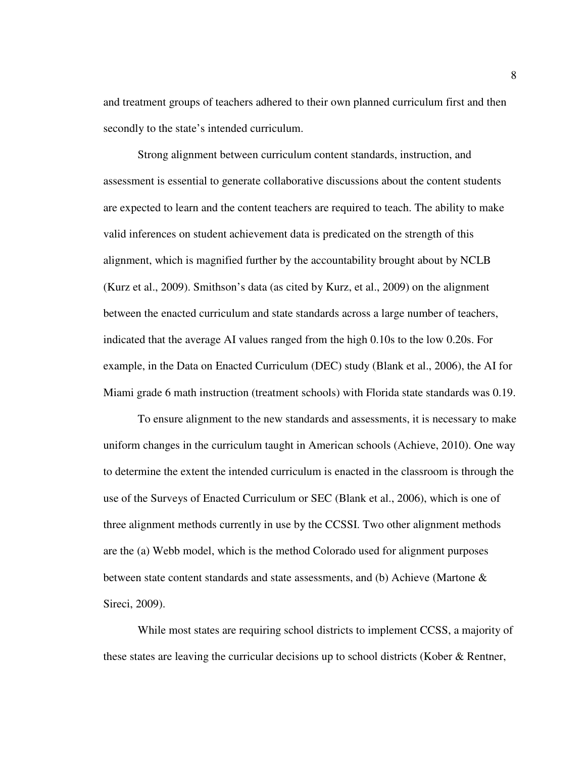and treatment groups of teachers adhered to their own planned curriculum first and then secondly to the state's intended curriculum.

Strong alignment between curriculum content standards, instruction, and assessment is essential to generate collaborative discussions about the content students are expected to learn and the content teachers are required to teach. The ability to make valid inferences on student achievement data is predicated on the strength of this alignment, which is magnified further by the accountability brought about by NCLB (Kurz et al., 2009). Smithson's data (as cited by Kurz, et al., 2009) on the alignment between the enacted curriculum and state standards across a large number of teachers, indicated that the average AI values ranged from the high 0.10s to the low 0.20s. For example, in the Data on Enacted Curriculum (DEC) study (Blank et al., 2006), the AI for Miami grade 6 math instruction (treatment schools) with Florida state standards was 0.19.

To ensure alignment to the new standards and assessments, it is necessary to make uniform changes in the curriculum taught in American schools (Achieve, 2010). One way to determine the extent the intended curriculum is enacted in the classroom is through the use of the Surveys of Enacted Curriculum or SEC (Blank et al., 2006), which is one of three alignment methods currently in use by the CCSSI. Two other alignment methods are the (a) Webb model, which is the method Colorado used for alignment purposes between state content standards and state assessments, and (b) Achieve (Martone & Sireci, 2009).

While most states are requiring school districts to implement CCSS, a majority of these states are leaving the curricular decisions up to school districts (Kober & Rentner,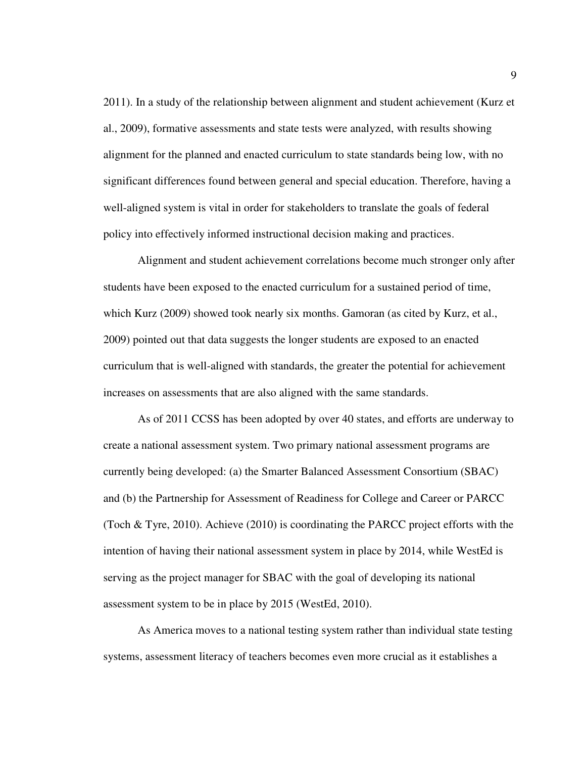2011). In a study of the relationship between alignment and student achievement (Kurz et al., 2009), formative assessments and state tests were analyzed, with results showing alignment for the planned and enacted curriculum to state standards being low, with no significant differences found between general and special education. Therefore, having a well-aligned system is vital in order for stakeholders to translate the goals of federal policy into effectively informed instructional decision making and practices.

Alignment and student achievement correlations become much stronger only after students have been exposed to the enacted curriculum for a sustained period of time, which Kurz (2009) showed took nearly six months. Gamoran (as cited by Kurz, et al., 2009) pointed out that data suggests the longer students are exposed to an enacted curriculum that is well-aligned with standards, the greater the potential for achievement increases on assessments that are also aligned with the same standards.

As of 2011 CCSS has been adopted by over 40 states, and efforts are underway to create a national assessment system. Two primary national assessment programs are currently being developed: (a) the Smarter Balanced Assessment Consortium (SBAC) and (b) the Partnership for Assessment of Readiness for College and Career or PARCC (Toch & Tyre, 2010). Achieve (2010) is coordinating the PARCC project efforts with the intention of having their national assessment system in place by 2014, while WestEd is serving as the project manager for SBAC with the goal of developing its national assessment system to be in place by 2015 (WestEd, 2010).

As America moves to a national testing system rather than individual state testing systems, assessment literacy of teachers becomes even more crucial as it establishes a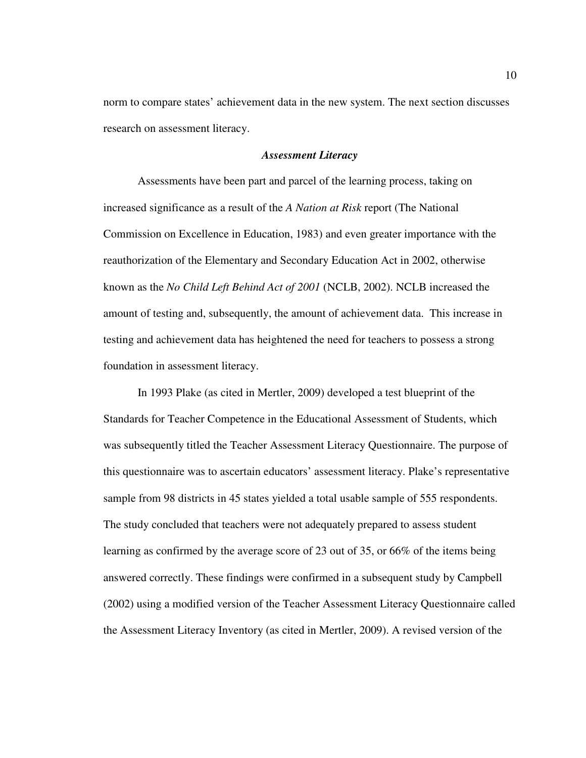norm to compare states' achievement data in the new system. The next section discusses research on assessment literacy.

# *Assessment Literacy*

Assessments have been part and parcel of the learning process, taking on increased significance as a result of the *A Nation at Risk* report (The National Commission on Excellence in Education, 1983) and even greater importance with the reauthorization of the Elementary and Secondary Education Act in 2002, otherwise known as the *No Child Left Behind Act of 2001* (NCLB, 2002). NCLB increased the amount of testing and, subsequently, the amount of achievement data. This increase in testing and achievement data has heightened the need for teachers to possess a strong foundation in assessment literacy.

In 1993 Plake (as cited in Mertler, 2009) developed a test blueprint of the Standards for Teacher Competence in the Educational Assessment of Students, which was subsequently titled the Teacher Assessment Literacy Questionnaire. The purpose of this questionnaire was to ascertain educators' assessment literacy. Plake's representative sample from 98 districts in 45 states yielded a total usable sample of 555 respondents. The study concluded that teachers were not adequately prepared to assess student learning as confirmed by the average score of 23 out of 35, or 66% of the items being answered correctly. These findings were confirmed in a subsequent study by Campbell (2002) using a modified version of the Teacher Assessment Literacy Questionnaire called the Assessment Literacy Inventory (as cited in Mertler, 2009). A revised version of the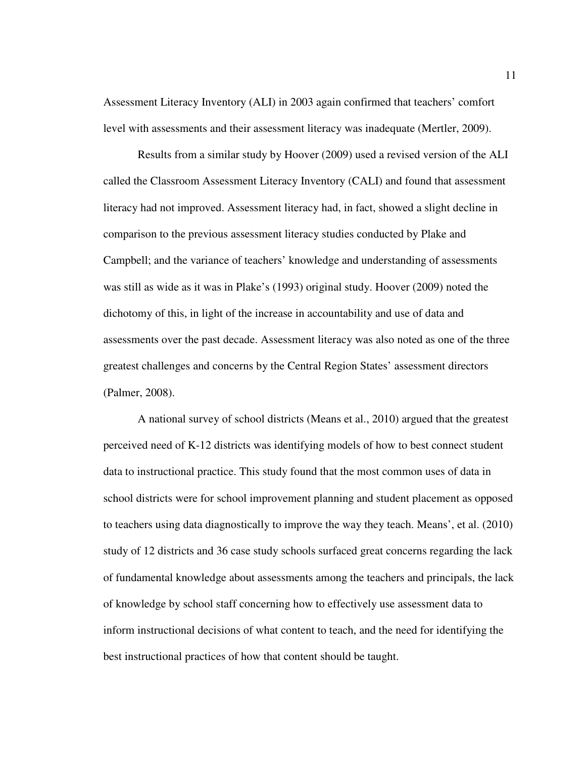Assessment Literacy Inventory (ALI) in 2003 again confirmed that teachers' comfort level with assessments and their assessment literacy was inadequate (Mertler, 2009).

Results from a similar study by Hoover (2009) used a revised version of the ALI called the Classroom Assessment Literacy Inventory (CALI) and found that assessment literacy had not improved. Assessment literacy had, in fact, showed a slight decline in comparison to the previous assessment literacy studies conducted by Plake and Campbell; and the variance of teachers' knowledge and understanding of assessments was still as wide as it was in Plake's (1993) original study. Hoover (2009) noted the dichotomy of this, in light of the increase in accountability and use of data and assessments over the past decade. Assessment literacy was also noted as one of the three greatest challenges and concerns by the Central Region States' assessment directors (Palmer, 2008).

A national survey of school districts (Means et al., 2010) argued that the greatest perceived need of K-12 districts was identifying models of how to best connect student data to instructional practice. This study found that the most common uses of data in school districts were for school improvement planning and student placement as opposed to teachers using data diagnostically to improve the way they teach. Means', et al. (2010) study of 12 districts and 36 case study schools surfaced great concerns regarding the lack of fundamental knowledge about assessments among the teachers and principals, the lack of knowledge by school staff concerning how to effectively use assessment data to inform instructional decisions of what content to teach, and the need for identifying the best instructional practices of how that content should be taught.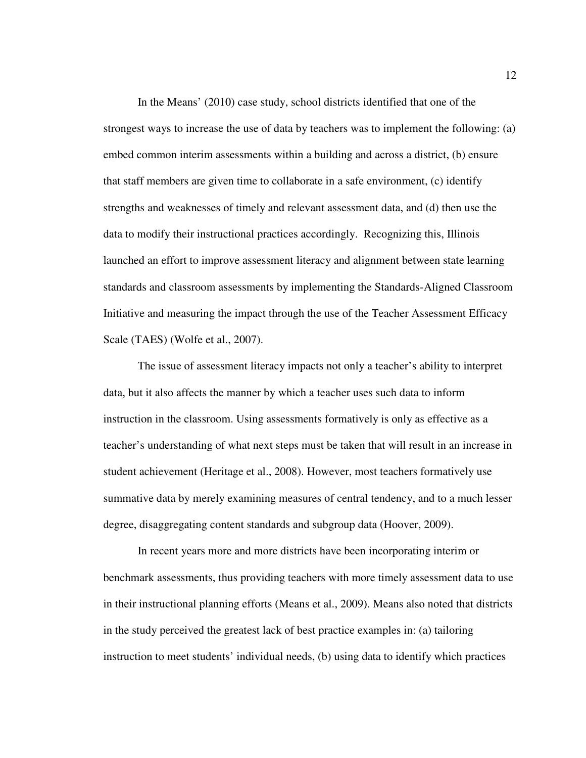In the Means' (2010) case study, school districts identified that one of the strongest ways to increase the use of data by teachers was to implement the following: (a) embed common interim assessments within a building and across a district, (b) ensure that staff members are given time to collaborate in a safe environment, (c) identify strengths and weaknesses of timely and relevant assessment data, and (d) then use the data to modify their instructional practices accordingly. Recognizing this, Illinois launched an effort to improve assessment literacy and alignment between state learning standards and classroom assessments by implementing the Standards-Aligned Classroom Initiative and measuring the impact through the use of the Teacher Assessment Efficacy Scale (TAES) (Wolfe et al., 2007).

The issue of assessment literacy impacts not only a teacher's ability to interpret data, but it also affects the manner by which a teacher uses such data to inform instruction in the classroom. Using assessments formatively is only as effective as a teacher's understanding of what next steps must be taken that will result in an increase in student achievement (Heritage et al., 2008). However, most teachers formatively use summative data by merely examining measures of central tendency, and to a much lesser degree, disaggregating content standards and subgroup data (Hoover, 2009).

In recent years more and more districts have been incorporating interim or benchmark assessments, thus providing teachers with more timely assessment data to use in their instructional planning efforts (Means et al., 2009). Means also noted that districts in the study perceived the greatest lack of best practice examples in: (a) tailoring instruction to meet students' individual needs, (b) using data to identify which practices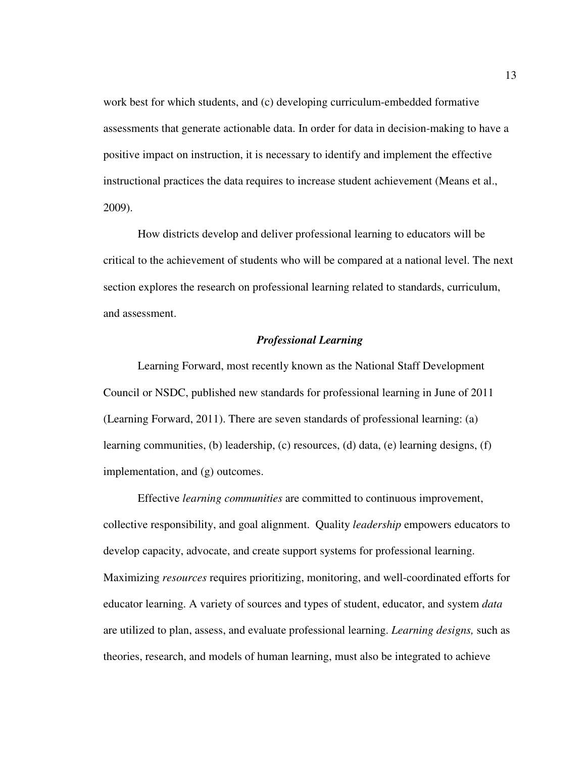work best for which students, and (c) developing curriculum-embedded formative assessments that generate actionable data. In order for data in decision-making to have a positive impact on instruction, it is necessary to identify and implement the effective instructional practices the data requires to increase student achievement (Means et al., 2009).

How districts develop and deliver professional learning to educators will be critical to the achievement of students who will be compared at a national level. The next section explores the research on professional learning related to standards, curriculum, and assessment.

# *Professional Learning*

Learning Forward, most recently known as the National Staff Development Council or NSDC, published new standards for professional learning in June of 2011 (Learning Forward, 2011). There are seven standards of professional learning: (a) learning communities, (b) leadership, (c) resources, (d) data, (e) learning designs, (f) implementation, and (g) outcomes.

Effective *learning communities* are committed to continuous improvement, collective responsibility, and goal alignment. Quality *leadership* empowers educators to develop capacity, advocate, and create support systems for professional learning. Maximizing *resources* requires prioritizing, monitoring, and well-coordinated efforts for educator learning. A variety of sources and types of student, educator, and system *data*  are utilized to plan, assess, and evaluate professional learning. *Learning designs,* such as theories, research, and models of human learning, must also be integrated to achieve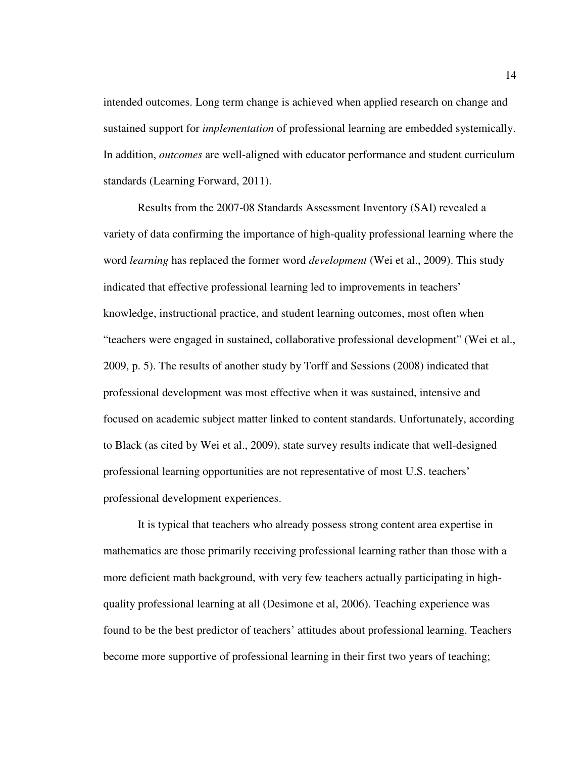intended outcomes. Long term change is achieved when applied research on change and sustained support for *implementation* of professional learning are embedded systemically. In addition, *outcomes* are well-aligned with educator performance and student curriculum standards (Learning Forward, 2011).

Results from the 2007-08 Standards Assessment Inventory (SAI) revealed a variety of data confirming the importance of high-quality professional learning where the word *learning* has replaced the former word *development* (Wei et al., 2009). This study indicated that effective professional learning led to improvements in teachers' knowledge, instructional practice, and student learning outcomes, most often when "teachers were engaged in sustained, collaborative professional development" (Wei et al., 2009, p. 5). The results of another study by Torff and Sessions (2008) indicated that professional development was most effective when it was sustained, intensive and focused on academic subject matter linked to content standards. Unfortunately, according to Black (as cited by Wei et al., 2009), state survey results indicate that well-designed professional learning opportunities are not representative of most U.S. teachers' professional development experiences.

It is typical that teachers who already possess strong content area expertise in mathematics are those primarily receiving professional learning rather than those with a more deficient math background, with very few teachers actually participating in highquality professional learning at all (Desimone et al, 2006). Teaching experience was found to be the best predictor of teachers' attitudes about professional learning. Teachers become more supportive of professional learning in their first two years of teaching;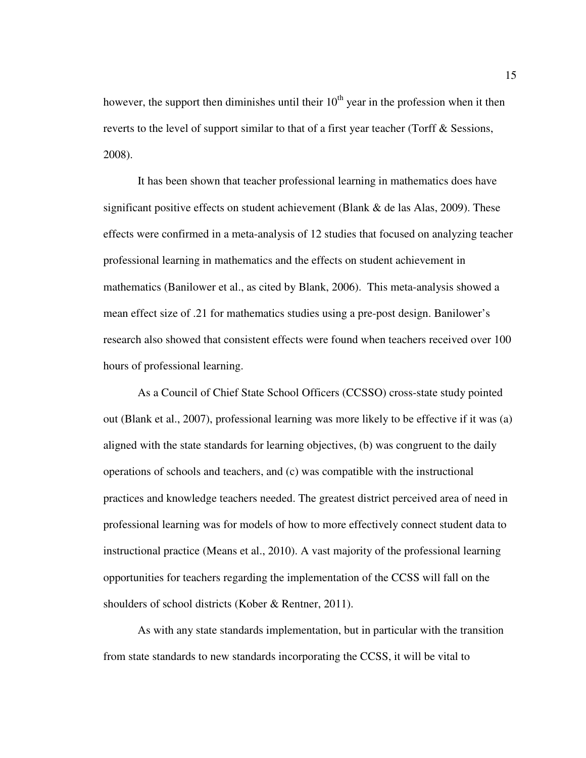however, the support then diminishes until their  $10<sup>th</sup>$  year in the profession when it then reverts to the level of support similar to that of a first year teacher (Torff & Sessions, 2008).

It has been shown that teacher professional learning in mathematics does have significant positive effects on student achievement (Blank & de las Alas, 2009). These effects were confirmed in a meta-analysis of 12 studies that focused on analyzing teacher professional learning in mathematics and the effects on student achievement in mathematics (Banilower et al., as cited by Blank, 2006). This meta-analysis showed a mean effect size of .21 for mathematics studies using a pre-post design. Banilower's research also showed that consistent effects were found when teachers received over 100 hours of professional learning.

As a Council of Chief State School Officers (CCSSO) cross-state study pointed out (Blank et al., 2007), professional learning was more likely to be effective if it was (a) aligned with the state standards for learning objectives, (b) was congruent to the daily operations of schools and teachers, and (c) was compatible with the instructional practices and knowledge teachers needed. The greatest district perceived area of need in professional learning was for models of how to more effectively connect student data to instructional practice (Means et al., 2010). A vast majority of the professional learning opportunities for teachers regarding the implementation of the CCSS will fall on the shoulders of school districts (Kober & Rentner, 2011).

As with any state standards implementation, but in particular with the transition from state standards to new standards incorporating the CCSS, it will be vital to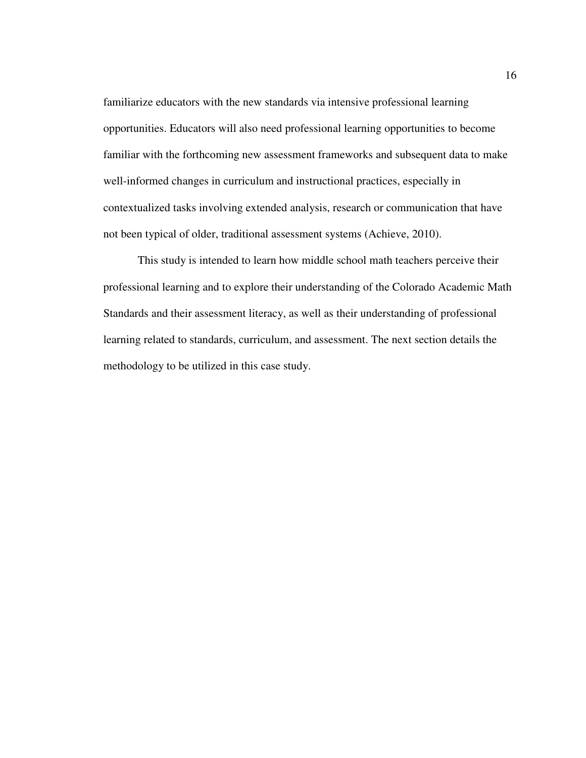familiarize educators with the new standards via intensive professional learning opportunities. Educators will also need professional learning opportunities to become familiar with the forthcoming new assessment frameworks and subsequent data to make well-informed changes in curriculum and instructional practices, especially in contextualized tasks involving extended analysis, research or communication that have not been typical of older, traditional assessment systems (Achieve, 2010).

This study is intended to learn how middle school math teachers perceive their professional learning and to explore their understanding of the Colorado Academic Math Standards and their assessment literacy, as well as their understanding of professional learning related to standards, curriculum, and assessment. The next section details the methodology to be utilized in this case study.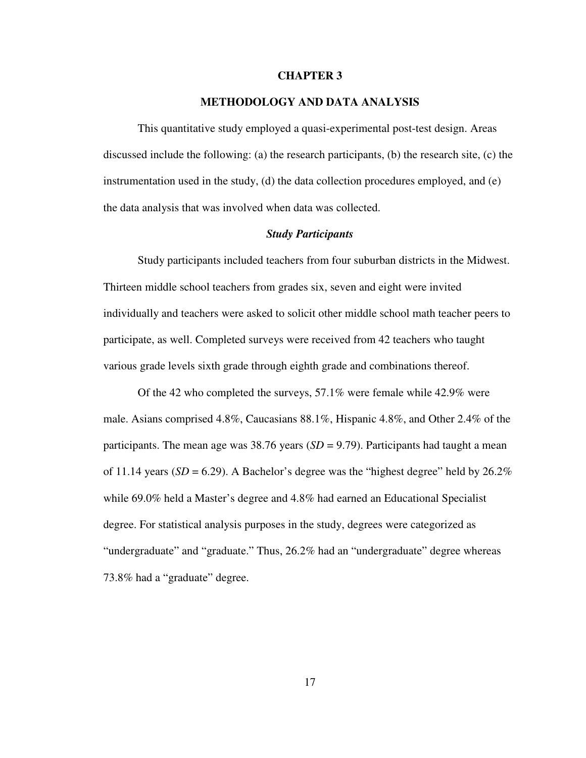#### **CHAPTER 3**

# **METHODOLOGY AND DATA ANALYSIS**

This quantitative study employed a quasi-experimental post-test design. Areas discussed include the following: (a) the research participants, (b) the research site, (c) the instrumentation used in the study, (d) the data collection procedures employed, and  $(e)$ the data analysis that was involved when data was collected.

#### *Study Participants*

Study participants included teachers from four suburban districts in the Midwest. Thirteen middle school teachers from grades six, seven and eight were invited individually and teachers were asked to solicit other middle school math teacher peers to participate, as well. Completed surveys were received from 42 teachers who taught various grade levels sixth grade through eighth grade and combinations thereof.

Of the 42 who completed the surveys, 57.1% were female while 42.9% were male. Asians comprised 4.8%, Caucasians 88.1%, Hispanic 4.8%, and Other 2.4% of the participants. The mean age was  $38.76$  years  $(SD = 9.79)$ . Participants had taught a mean of 11.14 years ( $SD = 6.29$ ). A Bachelor's degree was the "highest degree" held by  $26.2\%$ while 69.0% held a Master's degree and 4.8% had earned an Educational Specialist degree. For statistical analysis purposes in the study, degrees were categorized as "undergraduate" and "graduate." Thus, 26.2% had an "undergraduate" degree whereas 73.8% had a "graduate" degree.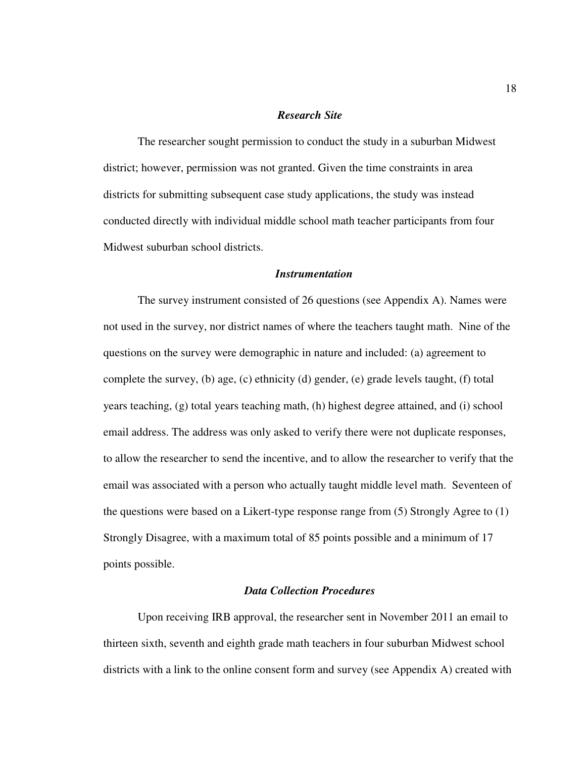# *Research Site*

The researcher sought permission to conduct the study in a suburban Midwest district; however, permission was not granted. Given the time constraints in area districts for submitting subsequent case study applications, the study was instead conducted directly with individual middle school math teacher participants from four Midwest suburban school districts.

# *Instrumentation*

The survey instrument consisted of 26 questions (see Appendix A). Names were not used in the survey, nor district names of where the teachers taught math. Nine of the questions on the survey were demographic in nature and included: (a) agreement to complete the survey, (b) age, (c) ethnicity (d) gender, (e) grade levels taught, (f) total years teaching, (g) total years teaching math, (h) highest degree attained, and (i) school email address. The address was only asked to verify there were not duplicate responses, to allow the researcher to send the incentive, and to allow the researcher to verify that the email was associated with a person who actually taught middle level math. Seventeen of the questions were based on a Likert-type response range from (5) Strongly Agree to (1) Strongly Disagree, with a maximum total of 85 points possible and a minimum of 17 points possible.

# *Data Collection Procedures*

 Upon receiving IRB approval, the researcher sent in November 2011 an email to thirteen sixth, seventh and eighth grade math teachers in four suburban Midwest school districts with a link to the online consent form and survey (see Appendix A) created with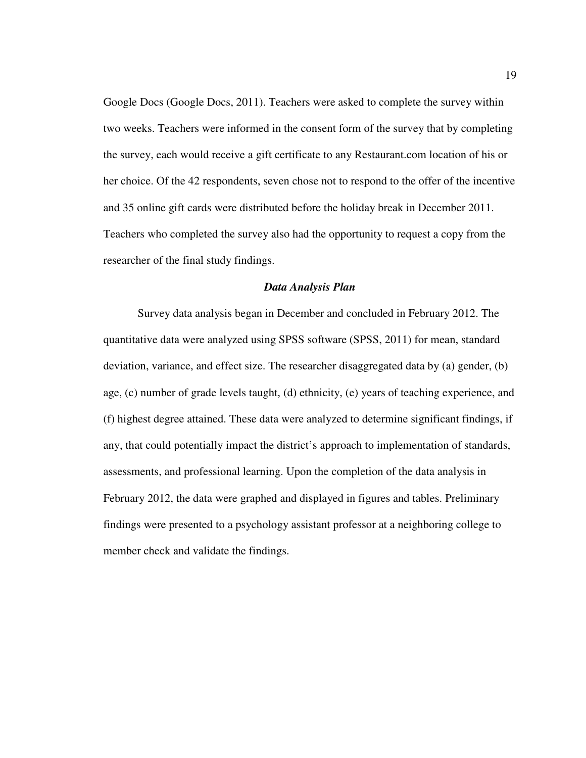Google Docs (Google Docs, 2011). Teachers were asked to complete the survey within two weeks. Teachers were informed in the consent form of the survey that by completing the survey, each would receive a gift certificate to any Restaurant.com location of his or her choice. Of the 42 respondents, seven chose not to respond to the offer of the incentive and 35 online gift cards were distributed before the holiday break in December 2011. Teachers who completed the survey also had the opportunity to request a copy from the researcher of the final study findings.

# *Data Analysis Plan*

Survey data analysis began in December and concluded in February 2012. The quantitative data were analyzed using SPSS software (SPSS, 2011) for mean, standard deviation, variance, and effect size. The researcher disaggregated data by (a) gender, (b) age, (c) number of grade levels taught, (d) ethnicity, (e) years of teaching experience, and (f) highest degree attained. These data were analyzed to determine significant findings, if any, that could potentially impact the district's approach to implementation of standards, assessments, and professional learning. Upon the completion of the data analysis in February 2012, the data were graphed and displayed in figures and tables. Preliminary findings were presented to a psychology assistant professor at a neighboring college to member check and validate the findings.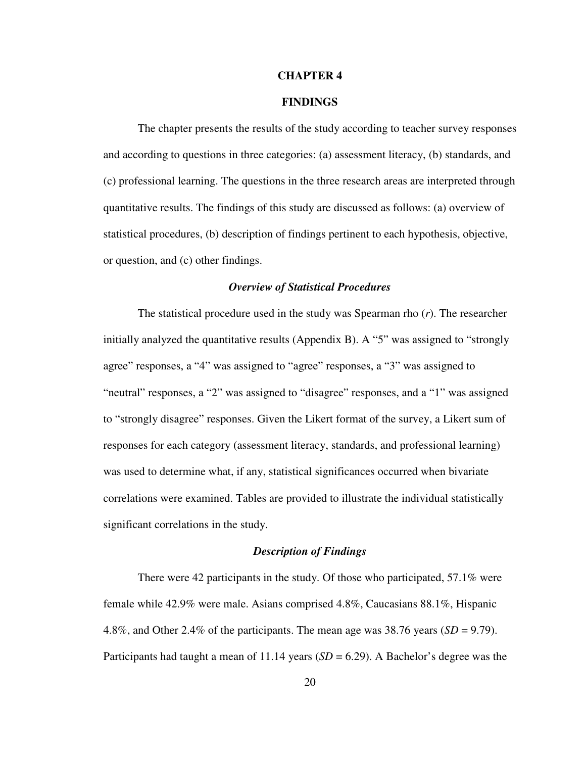#### **CHAPTER 4**

## **FINDINGS**

The chapter presents the results of the study according to teacher survey responses and according to questions in three categories: (a) assessment literacy, (b) standards, and (c) professional learning. The questions in the three research areas are interpreted through quantitative results. The findings of this study are discussed as follows: (a) overview of statistical procedures, (b) description of findings pertinent to each hypothesis, objective, or question, and (c) other findings.

#### *Overview of Statistical Procedures*

The statistical procedure used in the study was Spearman rho (*r*). The researcher initially analyzed the quantitative results (Appendix B). A "5" was assigned to "strongly agree" responses, a "4" was assigned to "agree" responses, a "3" was assigned to "neutral" responses, a "2" was assigned to "disagree" responses, and a "1" was assigned to "strongly disagree" responses. Given the Likert format of the survey, a Likert sum of responses for each category (assessment literacy, standards, and professional learning) was used to determine what, if any, statistical significances occurred when bivariate correlations were examined. Tables are provided to illustrate the individual statistically significant correlations in the study.

# *Description of Findings*

There were 42 participants in the study. Of those who participated, 57.1% were female while 42.9% were male. Asians comprised 4.8%, Caucasians 88.1%, Hispanic 4.8%, and Other 2.4% of the participants. The mean age was 38.76 years (*SD* = 9.79). Participants had taught a mean of 11.14 years (*SD* = 6.29). A Bachelor's degree was the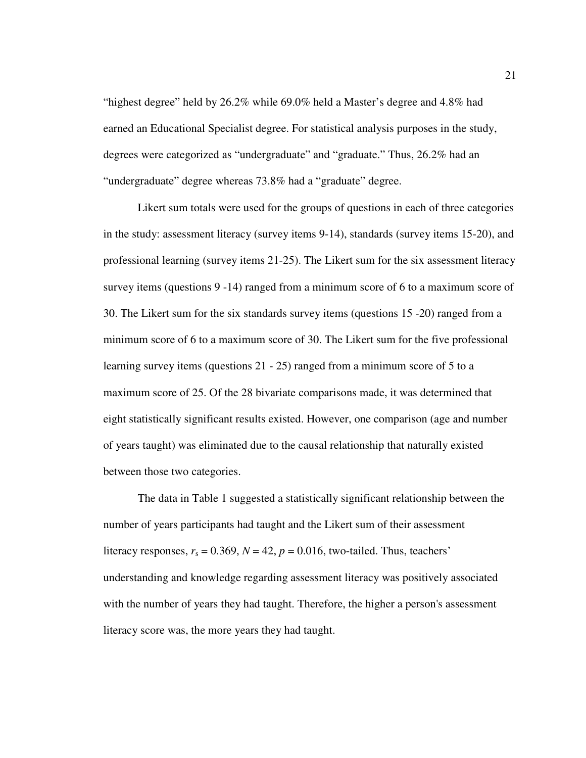"highest degree" held by 26.2% while 69.0% held a Master's degree and 4.8% had earned an Educational Specialist degree. For statistical analysis purposes in the study, degrees were categorized as "undergraduate" and "graduate." Thus, 26.2% had an "undergraduate" degree whereas 73.8% had a "graduate" degree.

Likert sum totals were used for the groups of questions in each of three categories in the study: assessment literacy (survey items 9-14), standards (survey items 15-20), and professional learning (survey items 21-25). The Likert sum for the six assessment literacy survey items (questions 9 -14) ranged from a minimum score of 6 to a maximum score of 30. The Likert sum for the six standards survey items (questions 15 -20) ranged from a minimum score of 6 to a maximum score of 30. The Likert sum for the five professional learning survey items (questions 21 - 25) ranged from a minimum score of 5 to a maximum score of 25. Of the 28 bivariate comparisons made, it was determined that eight statistically significant results existed. However, one comparison (age and number of years taught) was eliminated due to the causal relationship that naturally existed between those two categories.

The data in Table 1 suggested a statistically significant relationship between the number of years participants had taught and the Likert sum of their assessment literacy responses,  $r_s = 0.369$ ,  $N = 42$ ,  $p = 0.016$ , two-tailed. Thus, teachers' understanding and knowledge regarding assessment literacy was positively associated with the number of years they had taught. Therefore, the higher a person's assessment literacy score was, the more years they had taught.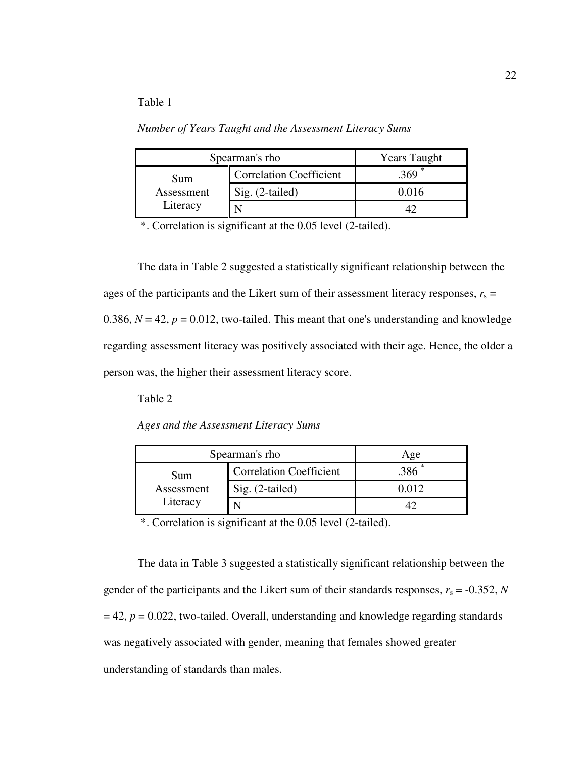# Table 1

*Number of Years Taught and the Assessment Literacy Sums* 

| Spearman's rho | <b>Years Taught</b>            |                   |
|----------------|--------------------------------|-------------------|
| Sum            | <b>Correlation Coefficient</b> | .369 <sup>°</sup> |
| Assessment     | Sig. (2-tailed)                | 0.016             |
| Literacy       |                                |                   |

\*. Correlation is significant at the 0.05 level (2-tailed).

The data in Table 2 suggested a statistically significant relationship between the ages of the participants and the Likert sum of their assessment literacy responses,  $r_s$  = 0.386,  $N = 42$ ,  $p = 0.012$ , two-tailed. This meant that one's understanding and knowledge regarding assessment literacy was positively associated with their age. Hence, the older a person was, the higher their assessment literacy score.

Table 2

*Ages and the Assessment Literacy Sums* 

| Spearman's rho | Age                            |         |
|----------------|--------------------------------|---------|
| Sum            | <b>Correlation Coefficient</b> |         |
| Assessment     | Sig. (2-tailed)                | 0 O 1 2 |
| Literacy       |                                |         |

\*. Correlation is significant at the 0.05 level (2-tailed).

The data in Table 3 suggested a statistically significant relationship between the gender of the participants and the Likert sum of their standards responses,  $r_s = -0.352$ , *N*  $= 42$ ,  $p = 0.022$ , two-tailed. Overall, understanding and knowledge regarding standards was negatively associated with gender, meaning that females showed greater understanding of standards than males.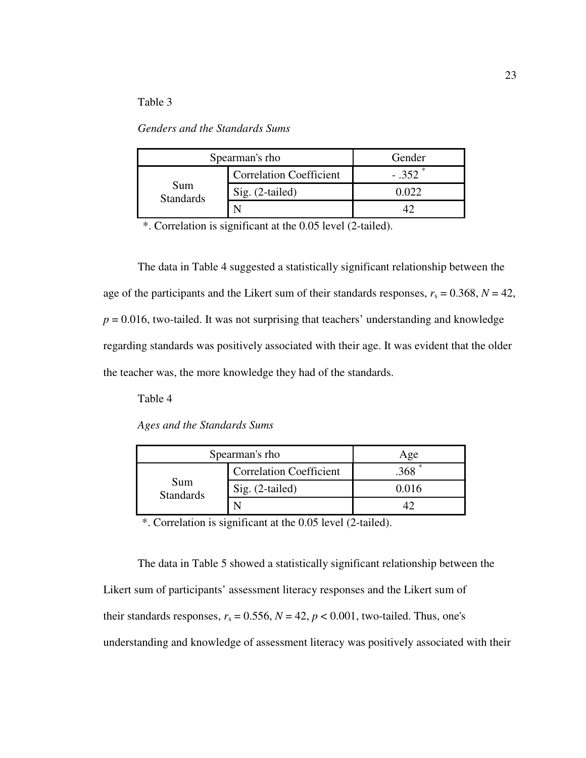# Table 3

*Genders and the Standards Sums* 

| Spearman's rho          |                                | Gender      |
|-------------------------|--------------------------------|-------------|
|                         | <b>Correlation Coefficient</b> | $-.352$ $*$ |
| Sum<br><b>Standards</b> | Sig. (2-tailed)                | በ በ22       |
|                         |                                |             |

\*. Correlation is significant at the 0.05 level (2-tailed).

The data in Table 4 suggested a statistically significant relationship between the age of the participants and the Likert sum of their standards responses,  $r_s = 0.368$ ,  $N = 42$ ,  $p = 0.016$ , two-tailed. It was not surprising that teachers' understanding and knowledge regarding standards was positively associated with their age. It was evident that the older the teacher was, the more knowledge they had of the standards.

Table 4

*Ages and the Standards Sums*

| Spearman's rho          |                                | Age      |
|-------------------------|--------------------------------|----------|
|                         | <b>Correlation Coefficient</b> | $.368$ * |
| Sum<br><b>Standards</b> | Sig. (2-tailed)                | 0.016    |
|                         |                                |          |

\*. Correlation is significant at the 0.05 level (2-tailed).

The data in Table 5 showed a statistically significant relationship between the Likert sum of participants' assessment literacy responses and the Likert sum of their standards responses,  $r_s = 0.556$ ,  $N = 42$ ,  $p < 0.001$ , two-tailed. Thus, one's understanding and knowledge of assessment literacy was positively associated with their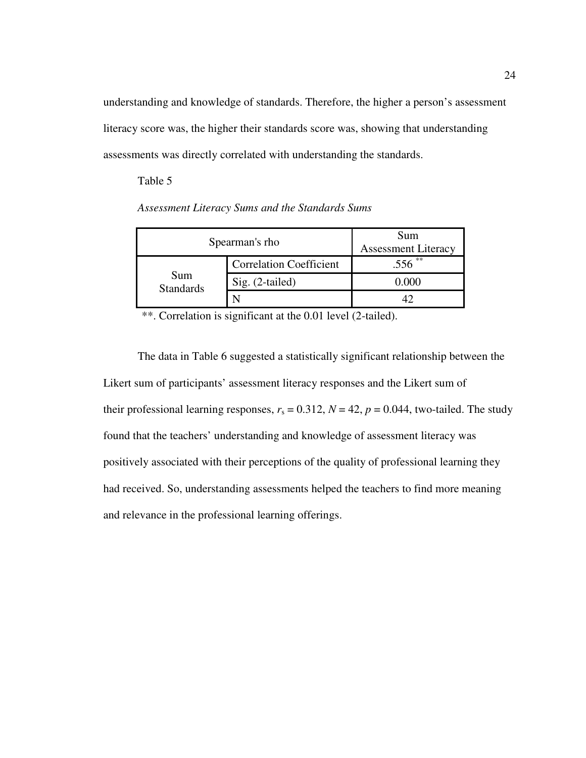understanding and knowledge of standards. Therefore, the higher a person's assessment literacy score was, the higher their standards score was, showing that understanding assessments was directly correlated with understanding the standards.

Table 5

*Assessment Literacy Sums and the Standards Sums* 

| Spearman's rho          |                                | Sum<br><b>Assessment Literacy</b> |
|-------------------------|--------------------------------|-----------------------------------|
|                         | <b>Correlation Coefficient</b> | **<br>.556                        |
| Sum<br><b>Standards</b> | Sig. (2-tailed)                | 0.000                             |
|                         |                                |                                   |

\*\*. Correlation is significant at the 0.01 level (2-tailed).

The data in Table 6 suggested a statistically significant relationship between the Likert sum of participants' assessment literacy responses and the Likert sum of their professional learning responses,  $r_s = 0.312$ ,  $N = 42$ ,  $p = 0.044$ , two-tailed. The study found that the teachers' understanding and knowledge of assessment literacy was positively associated with their perceptions of the quality of professional learning they had received. So, understanding assessments helped the teachers to find more meaning and relevance in the professional learning offerings.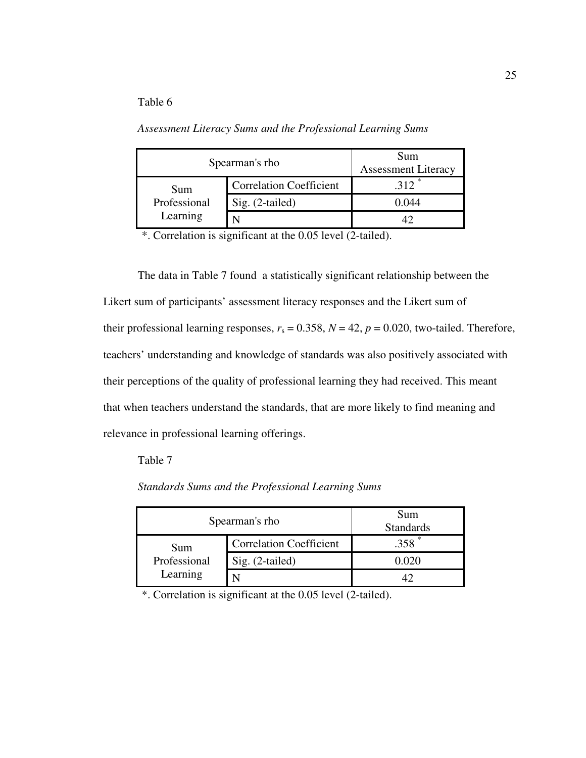# Table 6

*Assessment Literacy Sums and the Professional Learning Sums*

| Spearman's rho           |                                | Sum<br><b>Assessment Literacy</b> |
|--------------------------|--------------------------------|-----------------------------------|
| Sum                      | <b>Correlation Coefficient</b> | 312                               |
| Professional<br>Learning | Sig. (2-tailed)                | () ()44                           |
|                          |                                |                                   |

\*. Correlation is significant at the 0.05 level (2-tailed).

The data in Table 7 found a statistically significant relationship between the Likert sum of participants' assessment literacy responses and the Likert sum of their professional learning responses,  $r_s = 0.358$ ,  $N = 42$ ,  $p = 0.020$ , two-tailed. Therefore, teachers' understanding and knowledge of standards was also positively associated with their perceptions of the quality of professional learning they had received. This meant that when teachers understand the standards, that are more likely to find meaning and relevance in professional learning offerings.

# Table 7

*Standards Sums and the Professional Learning Sums* 

| Spearman's rho           | Sum<br><b>Standards</b>        |         |
|--------------------------|--------------------------------|---------|
| Sum                      | <b>Correlation Coefficient</b> | $.358*$ |
| Professional<br>Learning | $Sig. (2-tailed)$              | 0.020   |
|                          |                                |         |

\*. Correlation is significant at the 0.05 level (2-tailed).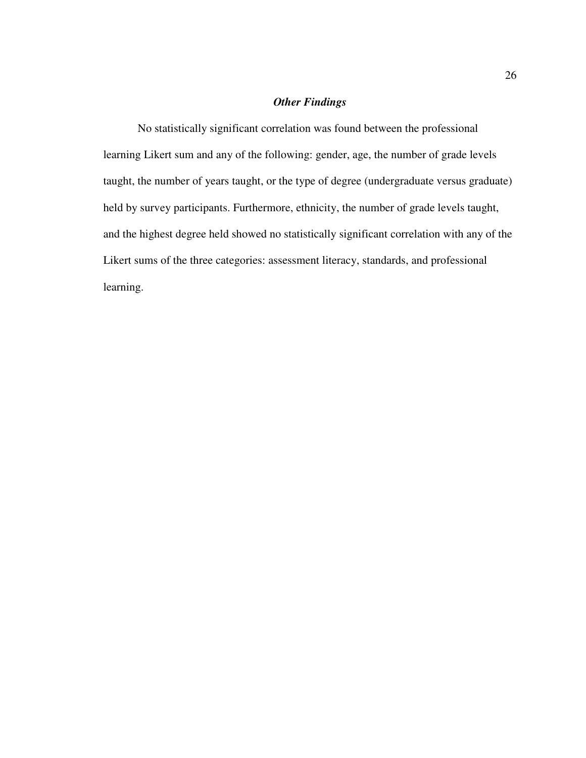# *Other Findings*

No statistically significant correlation was found between the professional learning Likert sum and any of the following: gender, age, the number of grade levels taught, the number of years taught, or the type of degree (undergraduate versus graduate) held by survey participants. Furthermore, ethnicity, the number of grade levels taught, and the highest degree held showed no statistically significant correlation with any of the Likert sums of the three categories: assessment literacy, standards, and professional learning.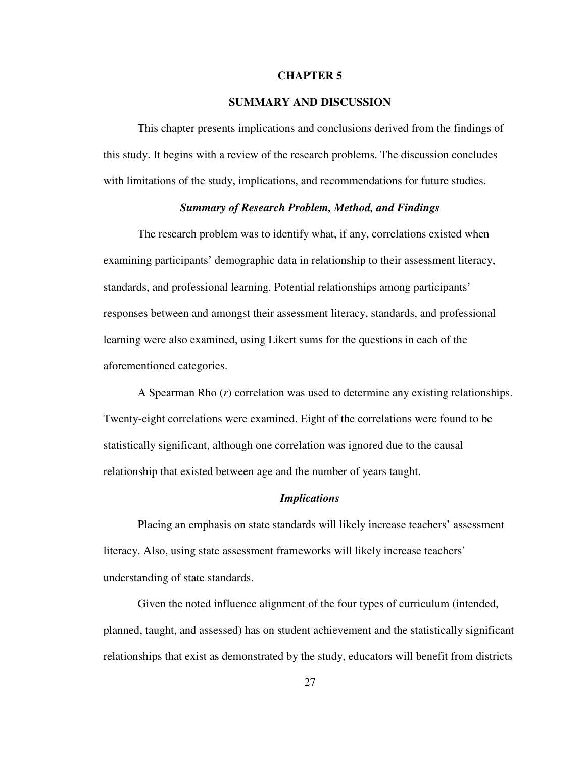#### **CHAPTER 5**

# **SUMMARY AND DISCUSSION**

 This chapter presents implications and conclusions derived from the findings of this study. It begins with a review of the research problems. The discussion concludes with limitations of the study, implications, and recommendations for future studies.

# *Summary of Research Problem, Method, and Findings*

The research problem was to identify what, if any, correlations existed when examining participants' demographic data in relationship to their assessment literacy, standards, and professional learning. Potential relationships among participants' responses between and amongst their assessment literacy, standards, and professional learning were also examined, using Likert sums for the questions in each of the aforementioned categories.

A Spearman Rho (*r*) correlation was used to determine any existing relationships. Twenty-eight correlations were examined. Eight of the correlations were found to be statistically significant, although one correlation was ignored due to the causal relationship that existed between age and the number of years taught.

#### *Implications*

Placing an emphasis on state standards will likely increase teachers' assessment literacy. Also, using state assessment frameworks will likely increase teachers' understanding of state standards.

Given the noted influence alignment of the four types of curriculum (intended, planned, taught, and assessed) has on student achievement and the statistically significant relationships that exist as demonstrated by the study, educators will benefit from districts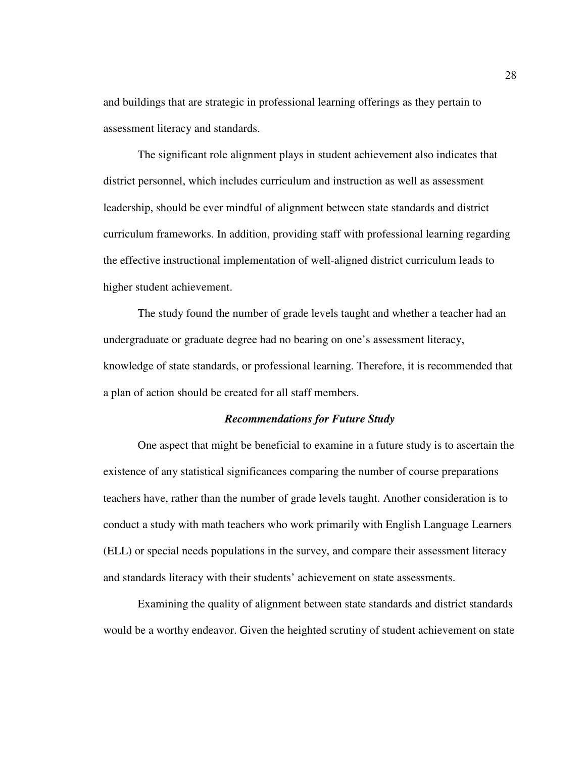and buildings that are strategic in professional learning offerings as they pertain to assessment literacy and standards.

The significant role alignment plays in student achievement also indicates that district personnel, which includes curriculum and instruction as well as assessment leadership, should be ever mindful of alignment between state standards and district curriculum frameworks. In addition, providing staff with professional learning regarding the effective instructional implementation of well-aligned district curriculum leads to higher student achievement.

The study found the number of grade levels taught and whether a teacher had an undergraduate or graduate degree had no bearing on one's assessment literacy, knowledge of state standards, or professional learning. Therefore, it is recommended that a plan of action should be created for all staff members.

#### *Recommendations for Future Study*

One aspect that might be beneficial to examine in a future study is to ascertain the existence of any statistical significances comparing the number of course preparations teachers have, rather than the number of grade levels taught. Another consideration is to conduct a study with math teachers who work primarily with English Language Learners (ELL) or special needs populations in the survey, and compare their assessment literacy and standards literacy with their students' achievement on state assessments.

Examining the quality of alignment between state standards and district standards would be a worthy endeavor. Given the heighted scrutiny of student achievement on state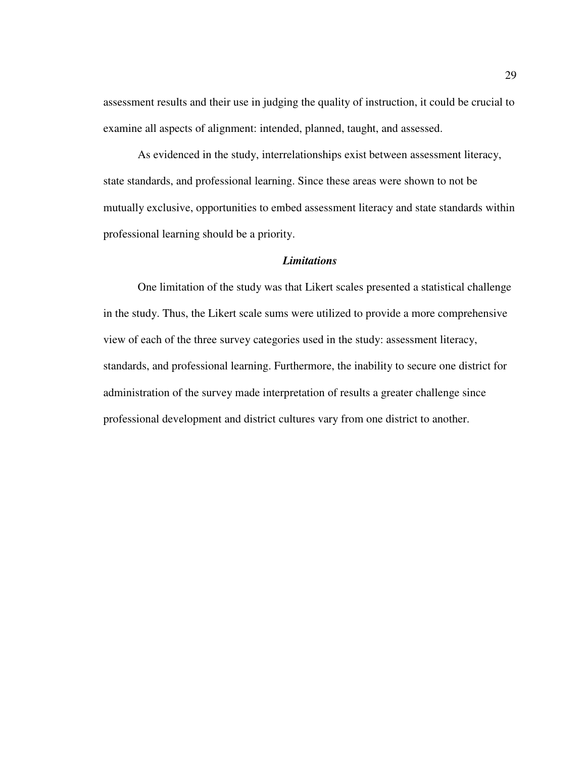assessment results and their use in judging the quality of instruction, it could be crucial to examine all aspects of alignment: intended, planned, taught, and assessed.

As evidenced in the study, interrelationships exist between assessment literacy, state standards, and professional learning. Since these areas were shown to not be mutually exclusive, opportunities to embed assessment literacy and state standards within professional learning should be a priority.

#### *Limitations*

One limitation of the study was that Likert scales presented a statistical challenge in the study. Thus, the Likert scale sums were utilized to provide a more comprehensive view of each of the three survey categories used in the study: assessment literacy, standards, and professional learning. Furthermore, the inability to secure one district for administration of the survey made interpretation of results a greater challenge since professional development and district cultures vary from one district to another.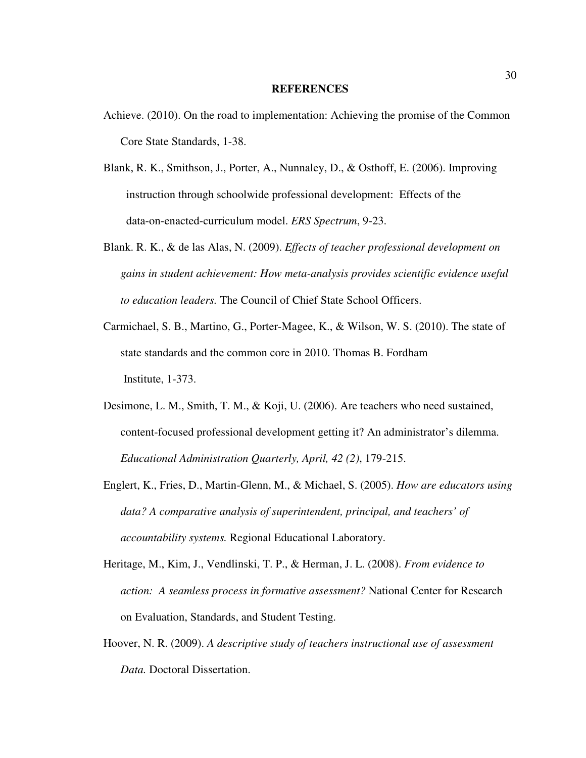#### **REFERENCES**

- Achieve. (2010). On the road to implementation: Achieving the promise of the Common Core State Standards, 1-38.
- Blank, R. K., Smithson, J., Porter, A., Nunnaley, D., & Osthoff, E. (2006). Improving instruction through schoolwide professional development: Effects of the data-on-enacted-curriculum model. *ERS Spectrum*, 9-23.
- Blank. R. K., & de las Alas, N. (2009). *Effects of teacher professional development on gains in student achievement: How meta-analysis provides scientific evidence useful to education leaders.* The Council of Chief State School Officers.
- Carmichael, S. B., Martino, G., Porter-Magee, K., & Wilson, W. S. (2010). The state of state standards and the common core in 2010. Thomas B. Fordham Institute, 1-373.
- Desimone, L. M., Smith, T. M., & Koji, U. (2006). Are teachers who need sustained, content-focused professional development getting it? An administrator's dilemma. *Educational Administration Quarterly, April, 42 (2)*, 179-215.
- Englert, K., Fries, D., Martin-Glenn, M., & Michael, S. (2005). *How are educators using data? A comparative analysis of superintendent, principal, and teachers' of accountability systems.* Regional Educational Laboratory.
- Heritage, M., Kim, J., Vendlinski, T. P., & Herman, J. L. (2008). *From evidence to action: A seamless process in formative assessment?* National Center for Research on Evaluation, Standards, and Student Testing.
- Hoover, N. R. (2009). *A descriptive study of teachers instructional use of assessment Data.* Doctoral Dissertation.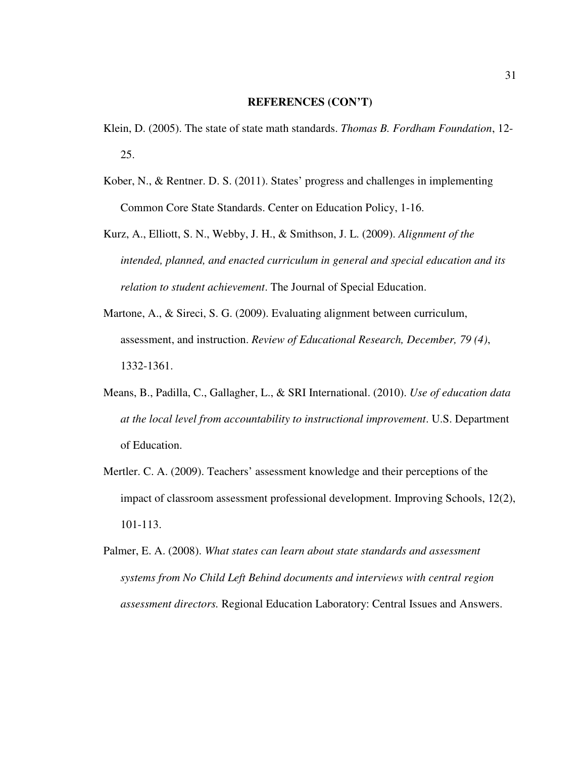- Klein, D. (2005). The state of state math standards. *Thomas B. Fordham Foundation*, 12- 25.
- Kober, N., & Rentner. D. S. (2011). States' progress and challenges in implementing Common Core State Standards. Center on Education Policy, 1-16.
- Kurz, A., Elliott, S. N., Webby, J. H., & Smithson, J. L. (2009). *Alignment of the intended, planned, and enacted curriculum in general and special education and its relation to student achievement*. The Journal of Special Education.
- Martone, A., & Sireci, S. G. (2009). Evaluating alignment between curriculum, assessment, and instruction. *Review of Educational Research, December, 79 (4)*, 1332-1361.
- Means, B., Padilla, C., Gallagher, L., & SRI International. (2010). *Use of education data at the local level from accountability to instructional improvement*. U.S. Department of Education.
- Mertler. C. A. (2009). Teachers' assessment knowledge and their perceptions of the impact of classroom assessment professional development. Improving Schools, 12(2), 101-113.
- Palmer, E. A. (2008). *What states can learn about state standards and assessment systems from No Child Left Behind documents and interviews with central region assessment directors.* Regional Education Laboratory: Central Issues and Answers.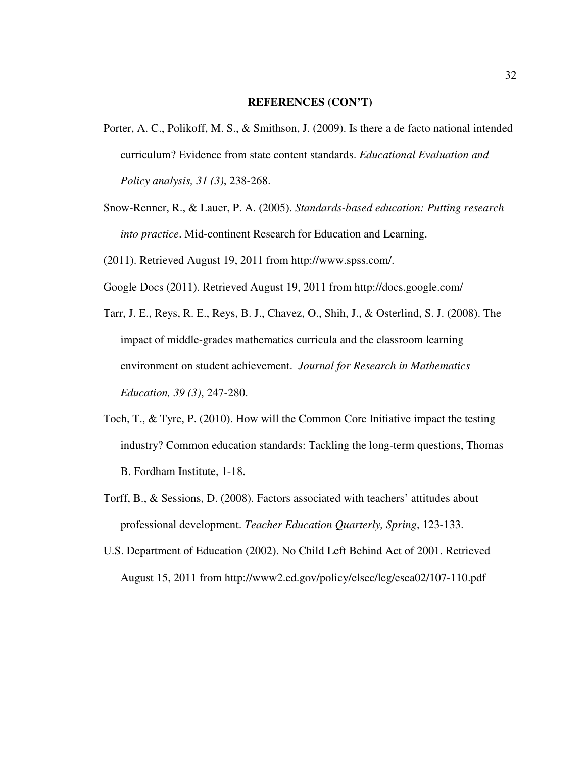- Porter, A. C., Polikoff, M. S., & Smithson, J. (2009). Is there a de facto national intended curriculum? Evidence from state content standards. *Educational Evaluation and Policy analysis, 31 (3)*, 238-268.
- Snow-Renner, R., & Lauer, P. A. (2005). *Standards-based education: Putting research into practice*. Mid-continent Research for Education and Learning.

(2011). Retrieved August 19, 2011 from http://www.spss.com/.

- Google Docs (2011). Retrieved August 19, 2011 from http://docs.google.com/
- Tarr, J. E., Reys, R. E., Reys, B. J., Chavez, O., Shih, J., & Osterlind, S. J. (2008). The impact of middle-grades mathematics curricula and the classroom learning environment on student achievement. *Journal for Research in Mathematics Education, 39 (3)*, 247-280.
- Toch, T., & Tyre, P. (2010). How will the Common Core Initiative impact the testing industry? Common education standards: Tackling the long-term questions, Thomas B. Fordham Institute, 1-18.
- Torff, B., & Sessions, D. (2008). Factors associated with teachers' attitudes about professional development. *Teacher Education Quarterly, Spring*, 123-133.
- U.S. Department of Education (2002). No Child Left Behind Act of 2001. Retrieved August 15, 2011 from http://www2.ed.gov/policy/elsec/leg/esea02/107-110.pdf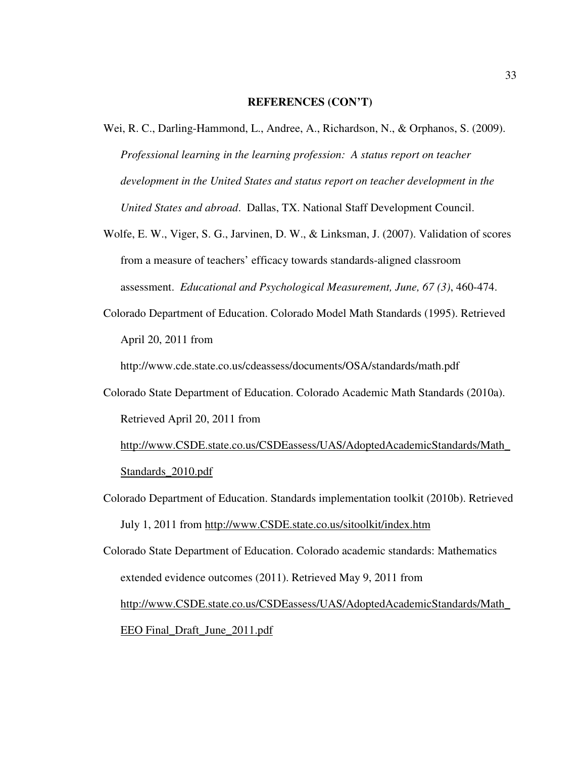- Wei, R. C., Darling-Hammond, L., Andree, A., Richardson, N., & Orphanos, S. (2009). *Professional learning in the learning profession: A status report on teacher development in the United States and status report on teacher development in the United States and abroad*. Dallas, TX. National Staff Development Council.
- Wolfe, E. W., Viger, S. G., Jarvinen, D. W., & Linksman, J. (2007). Validation of scores from a measure of teachers' efficacy towards standards-aligned classroom assessment. *Educational and Psychological Measurement, June, 67 (3)*, 460-474.
- Colorado Department of Education. Colorado Model Math Standards (1995). Retrieved April 20, 2011 from

http://www.cde.state.co.us/cdeassess/documents/OSA/standards/math.pdf

Colorado State Department of Education. Colorado Academic Math Standards (2010a). Retrieved April 20, 2011 from

 http://www.CSDE.state.co.us/CSDEassess/UAS/AdoptedAcademicStandards/Math\_ Standards\_2010.pdf

Colorado Department of Education. Standards implementation toolkit (2010b). Retrieved July 1, 2011 from http://www.CSDE.state.co.us/sitoolkit/index.htm

Colorado State Department of Education. Colorado academic standards: Mathematics extended evidence outcomes (2011). Retrieved May 9, 2011 from http://www.CSDE.state.co.us/CSDEassess/UAS/AdoptedAcademicStandards/Math\_ EEO Final\_Draft\_June\_2011.pdf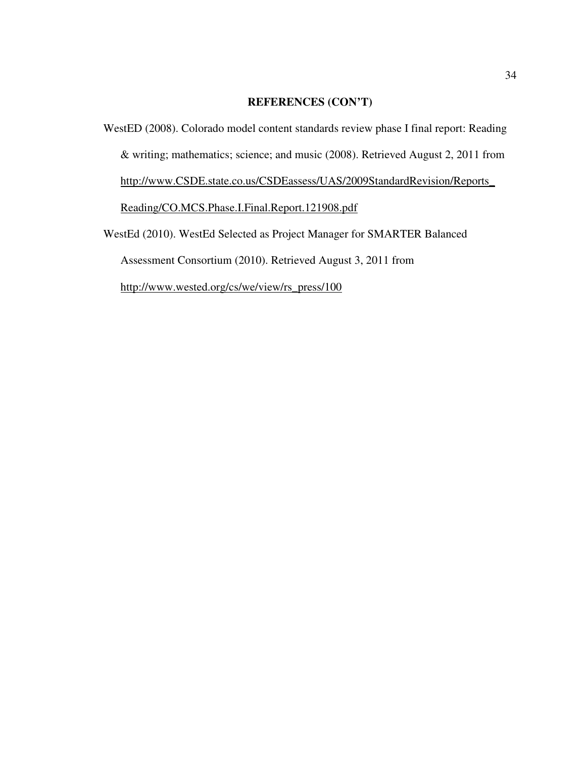WestED (2008). Colorado model content standards review phase I final report: Reading & writing; mathematics; science; and music (2008). Retrieved August 2, 2011 from http://www.CSDE.state.co.us/CSDEassess/UAS/2009StandardRevision/Reports\_ Reading/CO.MCS.Phase.I.Final.Report.121908.pdf WestEd (2010). WestEd Selected as Project Manager for SMARTER Balanced Assessment Consortium (2010). Retrieved August 3, 2011 from http://www.wested.org/cs/we/view/rs\_press/100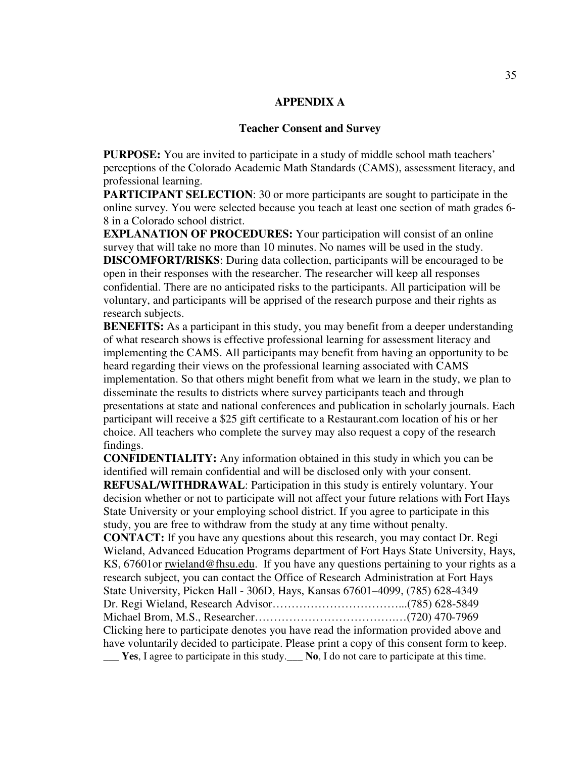## **APPENDIX A**

#### **Teacher Consent and Survey**

**PURPOSE:** You are invited to participate in a study of middle school math teachers' perceptions of the Colorado Academic Math Standards (CAMS), assessment literacy, and professional learning.

**PARTICIPANT SELECTION**: 30 or more participants are sought to participate in the online survey. You were selected because you teach at least one section of math grades 6- 8 in a Colorado school district.

**EXPLANATION OF PROCEDURES:** Your participation will consist of an online survey that will take no more than 10 minutes. No names will be used in the study. **DISCOMFORT/RISKS**: During data collection, participants will be encouraged to be open in their responses with the researcher. The researcher will keep all responses confidential. There are no anticipated risks to the participants. All participation will be voluntary, and participants will be apprised of the research purpose and their rights as research subjects.

**BENEFITS:** As a participant in this study, you may benefit from a deeper understanding of what research shows is effective professional learning for assessment literacy and implementing the CAMS. All participants may benefit from having an opportunity to be heard regarding their views on the professional learning associated with CAMS implementation. So that others might benefit from what we learn in the study, we plan to disseminate the results to districts where survey participants teach and through presentations at state and national conferences and publication in scholarly journals. Each participant will receive a \$25 gift certificate to a Restaurant.com location of his or her choice. All teachers who complete the survey may also request a copy of the research findings.

**CONFIDENTIALITY:** Any information obtained in this study in which you can be identified will remain confidential and will be disclosed only with your consent. **REFUSAL/WITHDRAWAL**: Participation in this study is entirely voluntary. Your decision whether or not to participate will not affect your future relations with Fort Hays State University or your employing school district. If you agree to participate in this study, you are free to withdraw from the study at any time without penalty.

**CONTACT:** If you have any questions about this research, you may contact Dr. Regi Wieland, Advanced Education Programs department of Fort Hays State University, Hays, KS, 67601or rwieland@fhsu.edu. If you have any questions pertaining to your rights as a research subject, you can contact the Office of Research Administration at Fort Hays State University, Picken Hall - 306D, Hays, Kansas 67601–4099, (785) 628-4349 Dr. Regi Wieland, Research Advisor……………………………...(785) 628-5849 Michael Brom, M.S., Researcher……………………………….…(720) 470-7969 Clicking here to participate denotes you have read the information provided above and have voluntarily decided to participate. Please print a copy of this consent form to keep. \_\_\_ **Yes**, I agree to participate in this study.\_\_\_ **No**, I do not care to participate at this time.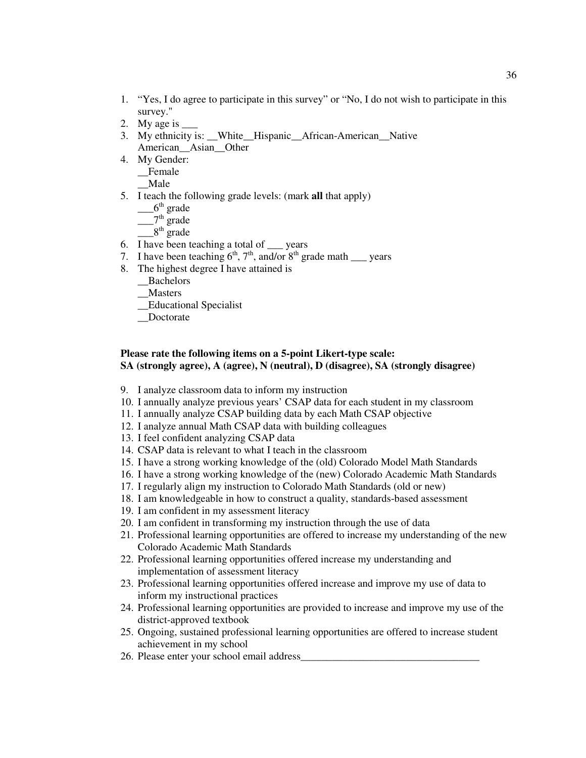- 1. "Yes, I do agree to participate in this survey" or "No, I do not wish to participate in this survey."
- 2. My age is
- 3. My ethnicity is: \_\_White\_\_Hispanic\_\_African-American\_\_Native American\_\_Asian\_\_Other
- 4. My Gender:
	- \_\_Female
	- \_\_Male
- 5. I teach the following grade levels: (mark **all** that apply)
	- $-6<sup>th</sup>$  grade
	- $2<sup>th</sup>$  grade
	- $8<sup>th</sup>$  grade
- 6. I have been teaching a total of \_\_\_ years
- 7. I have been teaching  $6<sup>th</sup>$ ,  $7<sup>th</sup>$ , and/or  $8<sup>th</sup>$  grade math \_\_\_ years
- 8. The highest degree I have attained is
	- \_\_Bachelors
	- \_\_Masters
	- \_\_Educational Specialist
	- Doctorate

# **Please rate the following items on a 5-point Likert-type scale: SA (strongly agree), A (agree), N (neutral), D (disagree), SA (strongly disagree)**

- 9. I analyze classroom data to inform my instruction
- 10. I annually analyze previous years' CSAP data for each student in my classroom
- 11. I annually analyze CSAP building data by each Math CSAP objective
- 12. I analyze annual Math CSAP data with building colleagues
- 13. I feel confident analyzing CSAP data
- 14. CSAP data is relevant to what I teach in the classroom
- 15. I have a strong working knowledge of the (old) Colorado Model Math Standards
- 16. I have a strong working knowledge of the (new) Colorado Academic Math Standards
- 17. I regularly align my instruction to Colorado Math Standards (old or new)
- 18. I am knowledgeable in how to construct a quality, standards-based assessment
- 19. I am confident in my assessment literacy
- 20. I am confident in transforming my instruction through the use of data
- 21. Professional learning opportunities are offered to increase my understanding of the new Colorado Academic Math Standards
- 22. Professional learning opportunities offered increase my understanding and implementation of assessment literacy
- 23. Professional learning opportunities offered increase and improve my use of data to inform my instructional practices
- 24. Professional learning opportunities are provided to increase and improve my use of the district-approved textbook
- 25. Ongoing, sustained professional learning opportunities are offered to increase student achievement in my school
- 26. Please enter your school email address\_\_\_\_\_\_\_\_\_\_\_\_\_\_\_\_\_\_\_\_\_\_\_\_\_\_\_\_\_\_\_\_\_\_